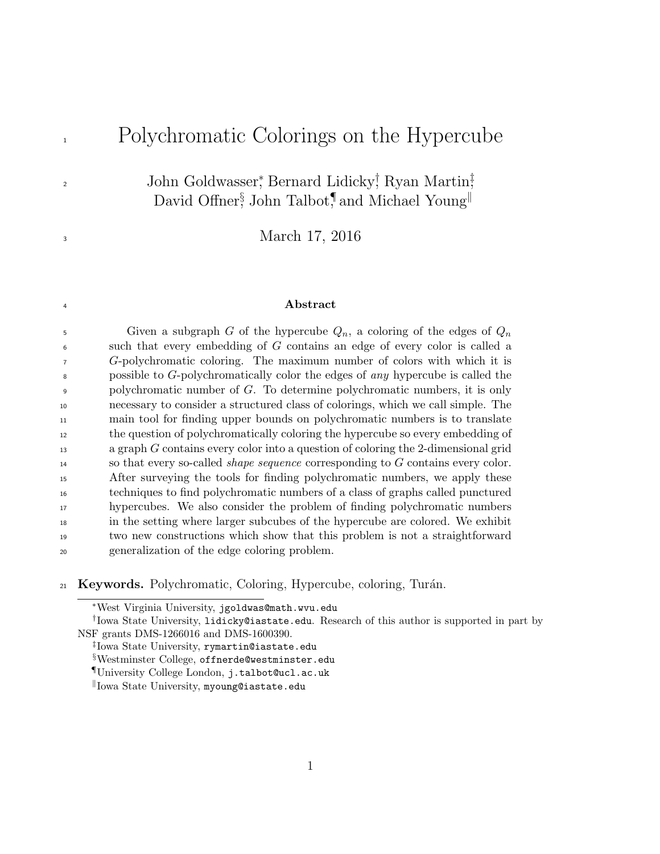# <sup>1</sup> Polychromatic Colorings on the Hypercube

John Goldwasser, Bernard Lidicky<sup>†</sup>, Ryan Martin<sup>†</sup>, David Offner<sup>§</sup> John Talbot,<sup>¶</sup> and Michael Young<sup>||</sup>

<sup>3</sup> March 17, 2016

#### <sup>4</sup> Abstract

5 Given a subgraph G of the hypercube  $Q_n$ , a coloring of the edges of  $Q_n$  such that every embedding of G contains an edge of every color is called a G-polychromatic coloring. The maximum number of colors with which it is possible to G-polychromatically color the edges of any hypercube is called the polychromatic number of G. To determine polychromatic numbers, it is only necessary to consider a structured class of colorings, which we call simple. The main tool for finding upper bounds on polychromatic numbers is to translate the question of polychromatically coloring the hypercube so every embedding of a graph G contains every color into a question of coloring the 2-dimensional grid so that every so-called shape sequence corresponding to G contains every color. After surveying the tools for finding polychromatic numbers, we apply these techniques to find polychromatic numbers of a class of graphs called punctured hypercubes. We also consider the problem of finding polychromatic numbers in the setting where larger subcubes of the hypercube are colored. We exhibit two new constructions which show that this problem is not a straightforward generalization of the edge coloring problem.

21 Keywords. Polychromatic, Coloring, Hypercube, coloring, Turán.

2

<sup>∗</sup>West Virginia University, jgoldwas@math.wvu.edu

<sup>†</sup> Iowa State University, lidicky@iastate.edu. Research of this author is supported in part by NSF grants DMS-1266016 and DMS-1600390.

<sup>‡</sup> Iowa State University, rymartin@iastate.edu

<sup>§</sup>Westminster College, offnerde@westminster.edu

<sup>¶</sup>University College London, j.talbot@ucl.ac.uk

k Iowa State University, myoung@iastate.edu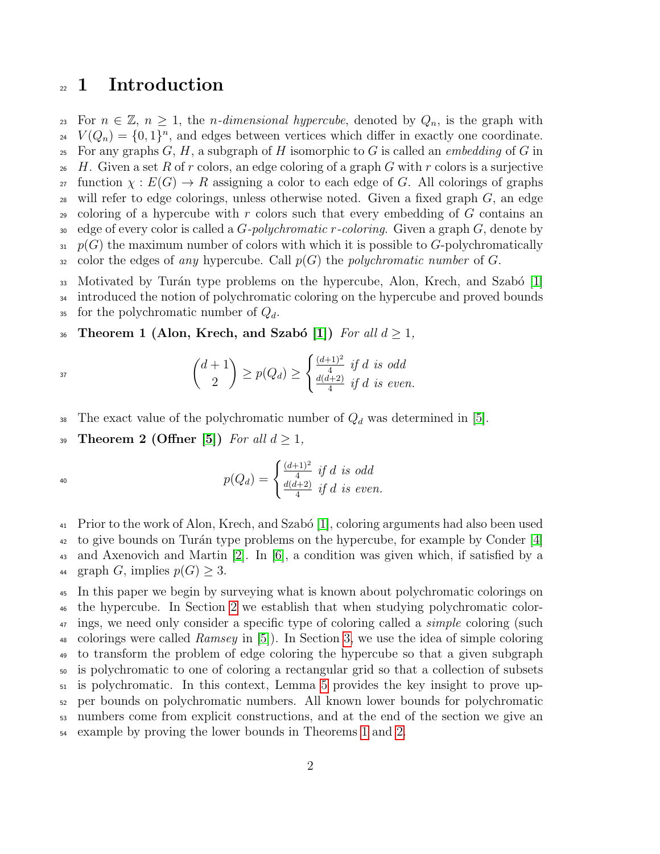### <sup>22</sup> 1 Introduction

23 For  $n \in \mathbb{Z}$ ,  $n \geq 1$ , the *n-dimensional hypercube*, denoted by  $Q_n$ , is the graph with <sup>24</sup>  $V(Q_n) = \{0,1\}^n$ , and edges between vertices which differ in exactly one coordinate. <sup>25</sup> For any graphs  $G, H$ , a subgraph of H isomorphic to G is called an *embedding* of G in 26 H. Given a set R of r colors, an edge coloring of a graph G with r colors is a surjective <sup>27</sup> function  $\chi: E(G) \to R$  assigning a color to each edge of G. All colorings of graphs  $28$  will refer to edge colorings, unless otherwise noted. Given a fixed graph  $G$ , an edge 29 coloring of a hypercube with r colors such that every embedding of  $G$  contains an 30 edge of every color is called a  $G$ -polychromatic r-coloring. Given a graph  $G$ , denote by  $\mathfrak{p}(G)$  the maximum number of colors with which it is possible to G-polychromatically 32 color the edges of any hypercube. Call  $p(G)$  the polychromatic number of G. 33 Motivated by Turán type problems on the hypercube, Alon, Krech, and Szabó  $[1]$ <sup>34</sup> introduced the notion of polychromatic coloring on the hypercube and proved bounds

35 for the polychromatic number of  $Q_d$ .

37

40

36 Theorem 1 (Alon, Krech, and Szabó [\[1\]](#page-21-0)) For all  $d \geq 1$ ,

<span id="page-1-0"></span>
$$
\binom{d+1}{2} \ge p(Q_d) \ge \begin{cases} \frac{(d+1)^2}{4} & \text{if } d \text{ is odd} \\ \frac{d(d+2)}{4} & \text{if } d \text{ is even.} \end{cases}
$$

- 38 The exact value of the polychromatic number of  $Q_d$  was determined in [\[5\]](#page-21-1).
- 39 Theorem 2 (Offner [\[5\]](#page-21-1)) For all  $d \geq 1$ ,

<span id="page-1-1"></span>
$$
p(Q_d) = \begin{cases} \frac{(d+1)^2}{4} & \text{if } d \text{ is odd} \\ \frac{d(d+2)}{4} & \text{if } d \text{ is even.} \end{cases}
$$

<sup>41</sup> Prior to the work of Alon, Krech, and Szabó [\[1\]](#page-21-0), coloring arguments had also been used  $\frac{42}{12}$  to give bounds on Turán type problems on the hypercube, for example by Conder [\[4\]](#page-21-2) <sup>43</sup> and Axenovich and Martin [\[2\]](#page-21-3). In [\[6\]](#page-21-4), a condition was given which, if satisfied by a 44 graph G, implies  $p(G) \geq 3$ .

 In this paper we begin by surveying what is known about polychromatic colorings on the hypercube. In Section [2](#page-2-0) we establish that when studying polychromatic color-<sup>47</sup> ings, we need only consider a specific type of coloring called a *simple* coloring (such <sup>48</sup> colorings were called *Ramsey* in [\[5\]](#page-21-1)). In Section [3,](#page-3-0) we use the idea of simple coloring to transform the problem of edge coloring the hypercube so that a given subgraph is polychromatic to one of coloring a rectangular grid so that a collection of subsets is polychromatic. In this context, Lemma [5](#page-5-0) provides the key insight to prove up- per bounds on polychromatic numbers. All known lower bounds for polychromatic numbers come from explicit constructions, and at the end of the section we give an example by proving the lower bounds in Theorems [1](#page-1-0) and [2.](#page-1-1)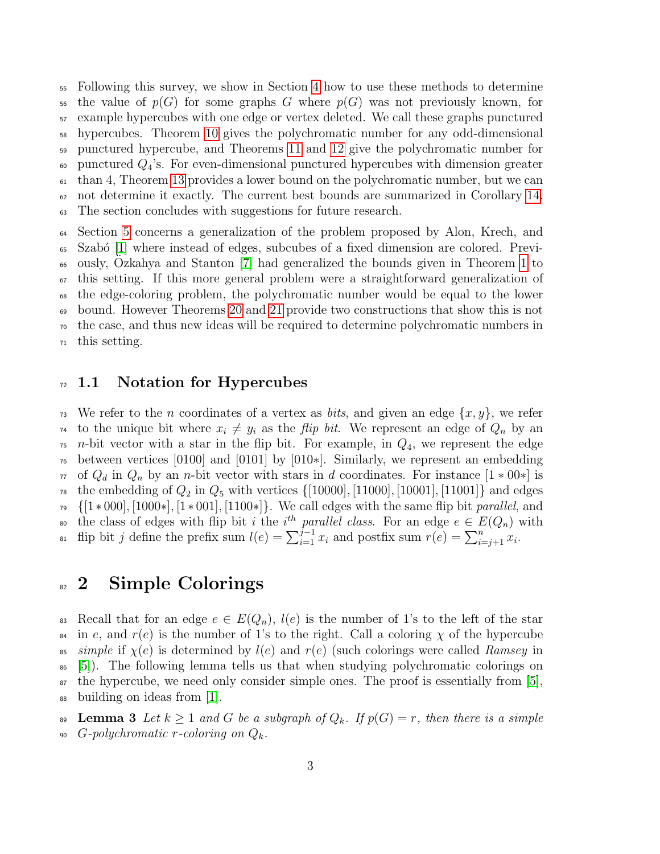Following this survey, we show in Section [4](#page-9-0) how to use these methods to determine <sup>56</sup> the value of  $p(G)$  for some graphs G where  $p(G)$  was not previously known, for example hypercubes with one edge or vertex deleted. We call these graphs punctured hypercubes. Theorem [10](#page-10-0) gives the polychromatic number for any odd-dimensional punctured hypercube, and Theorems [11](#page-11-0) and [12](#page-12-0) give the polychromatic number for  $\omega$  punctured  $Q_4$ 's. For even-dimensional punctured hypercubes with dimension greater than 4, Theorem [13](#page-13-0) provides a lower bound on the polychromatic number, but we can not determine it exactly. The current best bounds are summarized in Corollary [14.](#page-14-0) The section concludes with suggestions for future research. Section [5](#page-15-0) concerns a generalization of the problem proposed by Alon, Krech, and

<sup>65</sup> Szabó [\[1\]](#page-21-0) where instead of edges, subcubes of a fixed dimension are colored. Previ- $\omega$  ously, Ozkahya and Stanton [\[7\]](#page-21-5) had generalized the bounds given in Theorem [1](#page-1-0) to this setting. If this more general problem were a straightforward generalization of the edge-coloring problem, the polychromatic number would be equal to the lower bound. However Theorems [20](#page-17-0) and [21](#page-18-0) provide two constructions that show this is not the case, and thus new ideas will be required to determine polychromatic numbers in this setting.

#### $72 \quad 1.1$  Notation for Hypercubes

<sup>73</sup> We refer to the *n* coordinates of a vertex as *bits*, and given an edge  $\{x, y\}$ , we refer <sup>74</sup> to the unique bit where  $x_i \neq y_i$  as the *flip bit*. We represent an edge of  $Q_n$  by an  $\tau$ <sup>5</sup> *n*-bit vector with a star in the flip bit. For example, in  $Q_4$ , we represent the edge <sup>76</sup> between vertices [0100] and [0101] by [010<sup>\*</sup>]. Similarly, we represent an embedding  $77 \text{ of } Q_d$  in  $Q_n$  by an n-bit vector with stars in d coordinates. For instance  $[1 * 00*]$  is <sup>78</sup> the embedding of  $Q_2$  in  $Q_5$  with vertices  $\{[10000], [11000], [10001], [11001]\}$  and edges  $_{79}$  {[1 \* 000], [1000\*], [1 \* 001], [1100\*]}. We call edges with the same flip bit parallel, and so the class of edges with flip bit i the i<sup>th</sup> parallel class. For an edge  $e \in E(Q_n)$  with <sup>81</sup> flip bit j define the prefix sum  $l(e) = \sum_{i=1}^{j-1} x_i$  and postfix sum  $r(e) = \sum_{i=j+1}^{n} x_i$ .

#### <span id="page-2-0"></span><sup>82</sup> Simple Colorings

83 Recall that for an edge  $e \in E(Q_n)$ ,  $l(e)$  is the number of 1's to the left of the star <sup>84</sup> in e, and  $r(e)$  is the number of 1's to the right. Call a coloring  $\chi$  of the hypercube <sup>85</sup> simple if  $\chi(e)$  is determined by  $l(e)$  and  $r(e)$  (such colorings were called Ramsey in <sup>86</sup> [\[5\]](#page-21-1)). The following lemma tells us that when studying polychromatic colorings on <sup>87</sup> the hypercube, we need only consider simple ones. The proof is essentially from [\[5\]](#page-21-1), <sup>88</sup> building on ideas from [\[1\]](#page-21-0).

<span id="page-2-1"></span>**Lemma 3** Let  $k \geq 1$  and G be a subgraph of  $Q_k$ . If  $p(G) = r$ , then there is a simple 90 G-polychromatic r-coloring on  $Q_k$ .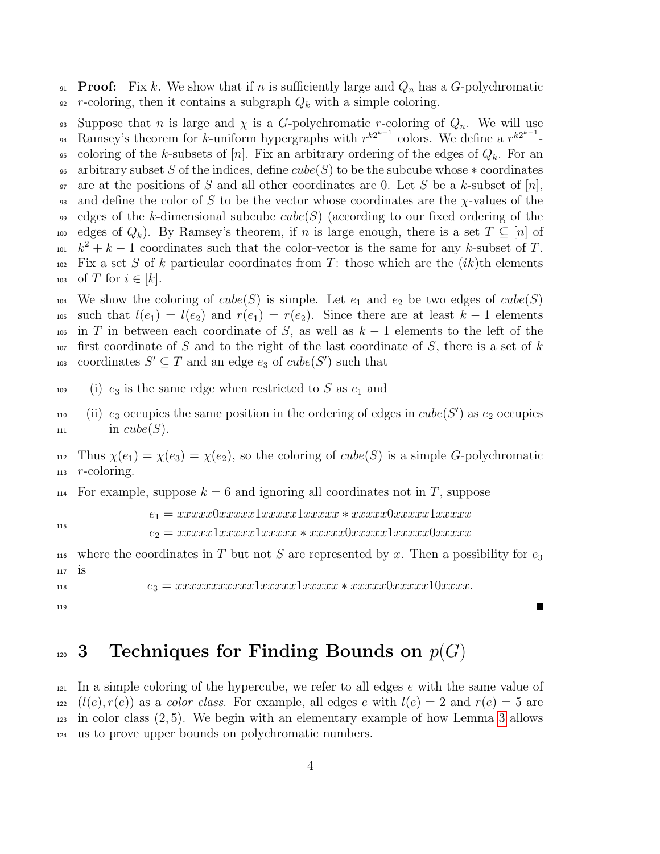91 **Proof:** Fix k. We show that if n is sufficiently large and  $Q_n$  has a G-polychromatic 92 r-coloring, then it contains a subgraph  $Q_k$  with a simple coloring.

93 Suppose that n is large and  $\chi$  is a G-polychromatic r-coloring of  $Q_n$ . We will use 94 Ramsey's theorem for k-uniform hypergraphs with  $r^{k2^{k-1}}$  colors. We define a  $r^{k2^{k-1}}$ -95 coloring of the k-subsets of  $[n]$ . Fix an arbitrary ordering of the edges of  $Q_k$ . For an 96 arbitrary subset S of the indices, define  $cube(S)$  to be the subcube whose  $*$  coordinates 97 are at the positions of S and all other coordinates are 0. Let S be a k-subset of  $[n]$ , 98 and define the color of S to be the vector whose coordinates are the  $\chi$ -values of the edges of the k-dimensional subcube cube(S) (according to our fixed ordering of the 100 edges of  $Q_k$ ). By Ramsey's theorem, if n is large enough, there is a set  $T \subseteq [n]$  of  $k^2 + k - 1$  coordinates such that the color-vector is the same for any k-subset of T.  $102$  Fix a set S of k particular coordinates from T: those which are the  $(ik)$ th elements 103 of T for  $i \in [k]$ . 104 We show the coloring of  $cube(S)$  is simple. Let  $e_1$  and  $e_2$  be two edges of  $cube(S)$ 105 such that  $l(e_1) = l(e_2)$  and  $r(e_1) = r(e_2)$ . Since there are at least  $k-1$  elements 106 in T in between each coordinate of S, as well as  $k-1$  elements to the left of the  $107$  first coordinate of S and to the right of the last coordinate of S, there is a set of k <sup>108</sup> coordinates  $S' \subseteq T$  and an edge  $e_3$  of  $cube(S')$  such that

 $109$  (i)  $e_3$  is the same edge when restricted to S as  $e_1$  and

110 (ii)  $e_3$  occupies the same position in the ordering of edges in  $cube(S')$  as  $e_2$  occupies  $\text{in cube}(S)$ .

112 Thus  $\chi(e_1) = \chi(e_3) = \chi(e_2)$ , so the coloring of cube(S) is a simple G-polychromatic  $113$  r-coloring.

 $_{114}$  For example, suppose  $k = 6$  and ignoring all coordinates not in T, suppose

115

 $e_1 = xxxxx0xxxxx1xxxxx1xxxxxx*xxxxx0xxxxx1xxxxx$ 

 $e_2 = xxxxx1xxxxx1xxxxx*xxxxx0xxxxx1xxxxx0xxxxx$ 

116 where the coordinates in T but not S are represented by x. Then a possibility for  $e_3$ <sup>117</sup> is

 $e_3 = xxxxxxxxxx1xxxxx1xxxxx1xxxxx \cdot \frac{xxxxxxx10xxxxx10xxxxx.$ 

```
119
```
### <span id="page-3-0"></span> $_{120}$  3 Techniques for Finding Bounds on  $p(G)$

<span id="page-3-1"></span> $121$  In a simple coloring of the hypercube, we refer to all edges e with the same value of  $122 \left( l(e), r(e) \right)$  as a *color class.* For example, all edges e with  $l(e) = 2$  and  $r(e) = 5$  are  $_{123}$  in color class  $(2, 5)$ . We begin with an elementary example of how Lemma [3](#page-2-1) allows <sup>124</sup> us to prove upper bounds on polychromatic numbers.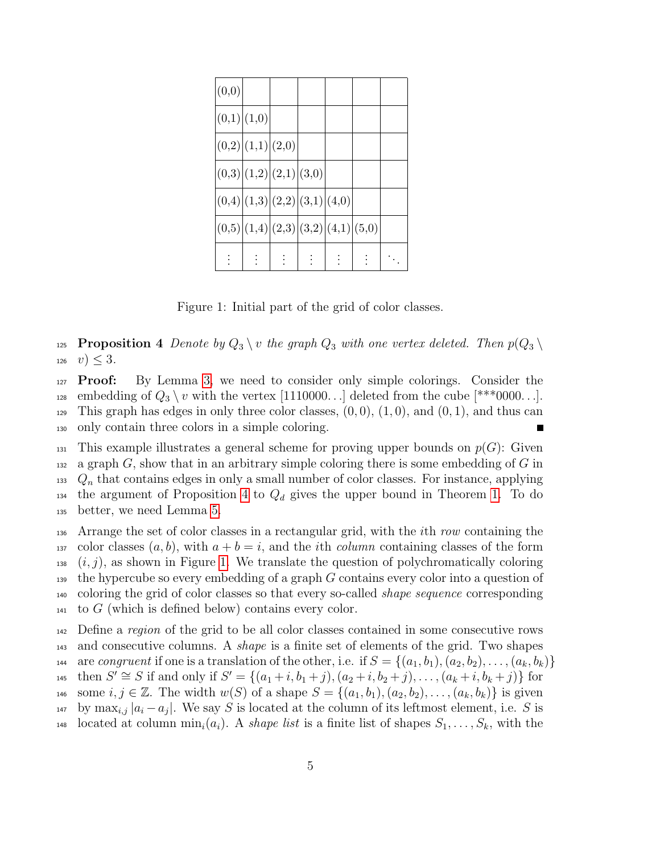| (0,0)                               |  |  |  |
|-------------------------------------|--|--|--|
| (0,1) (1,0)                         |  |  |  |
| (0,2) (1,1) (2,0)                   |  |  |  |
| (0,3) (1,2) (2,1) (3,0)             |  |  |  |
| (0,4) (1,3) (2,2) (3,1) (4,0)       |  |  |  |
| (0,5) (1,4) (2,3) (3,2) (4,1) (5,0) |  |  |  |
|                                     |  |  |  |

<span id="page-4-0"></span>Figure 1: Initial part of the grid of color classes.

125 **Proposition 4** Denote by  $Q_3 \setminus v$  the graph  $Q_3$  with one vertex deleted. Then  $p(Q_3 \setminus v)$  $v > 3.$ 

127 **Proof:** By Lemma [3,](#page-2-1) we need to consider only simple colorings. Consider the <sup>128</sup> embedding of  $Q_3 \setminus v$  with the vertex [1110000...] deleted from the cube [\*\*\*0000...]. 129 This graph has edges in only three color classes,  $(0, 0)$ ,  $(1, 0)$ , and  $(0, 1)$ , and thus can <sup>130</sup> only contain three colors in a simple coloring. Г

131 This example illustrates a general scheme for proving upper bounds on  $p(G)$ : Given 132 a graph  $G$ , show that in an arbitrary simple coloring there is some embedding of  $G$  in  $133 \quad Q_n$  that contains edges in only a small number of color classes. For instance, applying <sup>134</sup> the argument of Proposition [4](#page-3-1) to  $Q_d$  gives the upper bound in Theorem [1.](#page-1-0) To do <sup>135</sup> better, we need Lemma [5.](#page-5-0)

136 Arrange the set of color classes in a rectangular grid, with the *i*th row containing the 137 color classes  $(a, b)$ , with  $a + b = i$ , and the *i*th *column* containing classes of the form  $(i, j)$ , as shown in Figure [1.](#page-4-0) We translate the question of polychromatically coloring 139 the hypercube so every embedding of a graph  $G$  contains every color into a question of <sub>140</sub> coloring the grid of color classes so that every so-called *shape sequence* corresponding  $_{141}$  to G (which is defined below) contains every color.

<sup>142</sup> Define a region of the grid to be all color classes contained in some consecutive rows <sup>143</sup> and consecutive columns. A *shape* is a finite set of elements of the grid. Two shapes 144 are congruent if one is a translation of the other, i.e. if  $S = \{(a_1, b_1), (a_2, b_2), \ldots, (a_k, b_k)\}\$ 145 then  $S' \cong S$  if and only if  $S' = \{(a_1 + i, b_1 + j), (a_2 + i, b_2 + j), \ldots, (a_k + i, b_k + j)\}$  for 146 some  $i, j \in \mathbb{Z}$ . The width  $w(S)$  of a shape  $S = \{(a_1, b_1), (a_2, b_2), \ldots, (a_k, b_k)\}\$ is given <sup>147</sup> by max<sub>i,j</sub>  $|a_i - a_j|$ . We say S is located at the column of its leftmost element, i.e. S is <sup>148</sup> located at column  $\min_i(a_i)$ . A *shape list* is a finite list of shapes  $S_1, \ldots, S_k$ , with the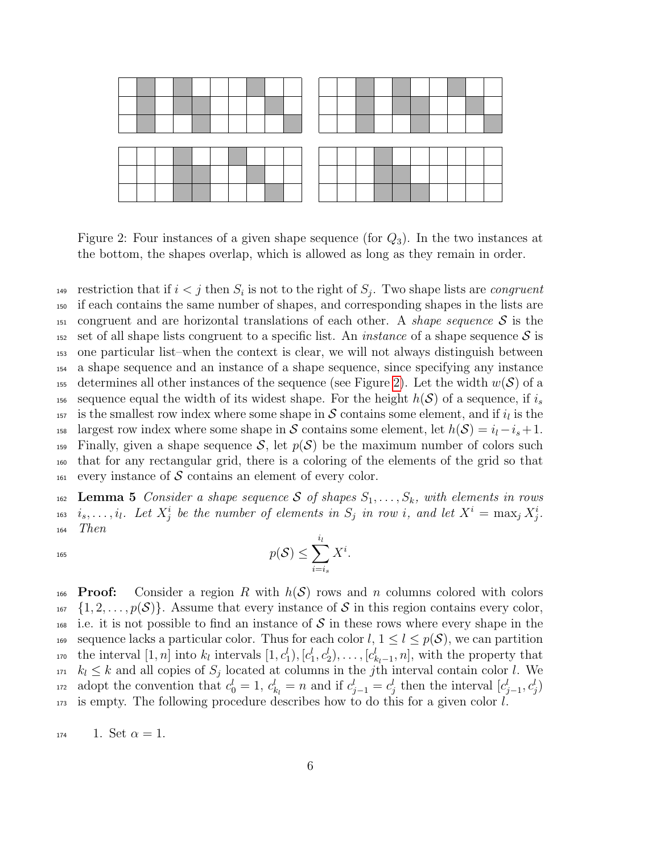

<span id="page-5-1"></span>Figure 2: Four instances of a given shape sequence (for  $Q_3$ ). In the two instances at the bottom, the shapes overlap, which is allowed as long as they remain in order.

<sup>149</sup> restriction that if  $i < j$  then  $S_i$  is not to the right of  $S_j$ . Two shape lists are *congruent* <sup>150</sup> if each contains the same number of shapes, and corresponding shapes in the lists are <sup>151</sup> congruent and are horizontal translations of each other. A *shape sequence*  $S$  is the 152 set of all shape lists congruent to a specific list. An *instance* of a shape sequence S is <sup>153</sup> one particular list–when the context is clear, we will not always distinguish between <sup>154</sup> a shape sequence and an instance of a shape sequence, since specifying any instance 155 determines all other instances of the sequence (see Figure [2\)](#page-5-1). Let the width  $w(S)$  of a 156 sequence equal the width of its widest shape. For the height  $h(\mathcal{S})$  of a sequence, if  $i_s$ <sup>157</sup> is the smallest row index where some shape in S contains some element, and if  $i_l$  is the 158 largest row index where some shape in S contains some element, let  $h(\mathcal{S}) = i_l - i_s + 1$ .  $_{159}$  Finally, given a shape sequence S, let  $p(S)$  be the maximum number of colors such <sup>160</sup> that for any rectangular grid, there is a coloring of the elements of the grid so that  $_{161}$  every instance of S contains an element of every color.

<span id="page-5-0"></span>162 Lemma 5 Consider a shape sequence S of shapes  $S_1, \ldots, S_k$ , with elements in rows <sup>163</sup> i<sub>s</sub>,...,i<sub>l</sub>. Let  $X_j^i$  be the number of elements in  $S_j$  in row i, and let  $X^i = \max_j X_j^i$ . <sup>164</sup> Then

$$
p(\mathcal{S}) \le \sum_{i=i_s}^{i_l} X^i.
$$

166 **Proof:** Consider a region R with  $h(S)$  rows and n columns colored with colors  $\{1, 2, \ldots, p(S)\}\$ . Assume that every instance of S in this region contains every color,  $\frac{1}{68}$  i.e. it is not possible to find an instance of S in these rows where every shape in the 169 sequence lacks a particular color. Thus for each color  $l, 1 \leq l \leq p(S)$ , we can partition <sup>170</sup> the interval  $[1, n]$  into  $k_l$  intervals  $[1, c_1^l), [c_1^l, c_2^l), \ldots, [c_{k_l-1}^l, n]$ , with the property that  $k_l \leq k$  and all copies of  $S_j$  located at columns in the j<sup>th</sup> interval contain color l. We <sup>172</sup> adopt the convention that  $c_0^l = 1, c_{k_l}^l = n$  and if  $c_{j-1}^l = c_j^l$  then the interval  $[c_{j-1}^l, c_j^l)$ <sup>173</sup> is empty. The following procedure describes how to do this for a given color l.

$$
174
$$
 1. Set  $\alpha = 1$ .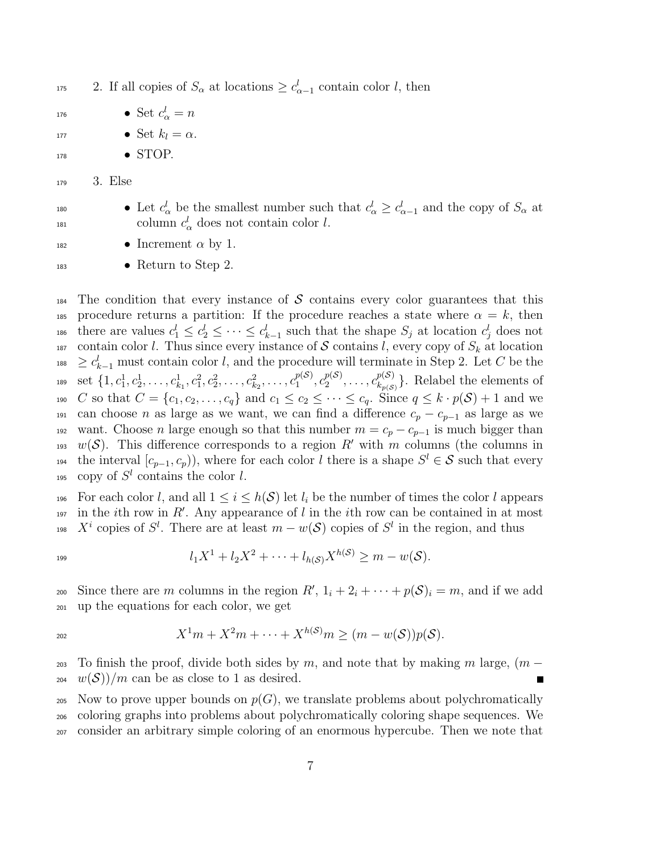<sup>175</sup> 2. If all copies of  $S_{\alpha}$  at locations  $\geq c_{\alpha-1}^{l}$  contain color l, then

- $\bullet \ \mathsf{Set} \ c_\alpha^l = n$
- 177 Set  $k_l = \alpha$ .
- 178 STOP.
- <sup>179</sup> 3. Else
- 

180 **•** Let  $c_{\alpha}^{l}$  be the smallest number such that  $c_{\alpha}^{l} \geq c_{\alpha-1}^{l}$  and the copy of  $S_{\alpha}$  at <sup>181</sup> column  $c^l_\alpha$  does not contain color *l*.

- $\bullet$  Increment  $\alpha$  by 1.
- <sup>183</sup> Return to Step 2.

 $184$  The condition that every instance of S contains every color guarantees that this 185 procedure returns a partition: If the procedure reaches a state where  $\alpha = k$ , then <sup>186</sup> there are values  $c_1^l \leq c_2^l \leq \cdots \leq c_{k-1}^l$  such that the shape  $S_j$  at location  $c_j^l$  does not 187 contain color l. Thus since every instance of S contains l, every copy of  $S_k$  at location  $L_{188} \geq c_{k-1}^l$  must contain color l, and the procedure will terminate in Step 2. Let C be the set  $\{1, c_1^1, c_2^1, \ldots, c_{k_1}^1, c_1^2, c_2^2, \ldots, c_{k_2}^2, \ldots, c_1^{p(\mathcal{S})}\}$  $p(\mathcal{S})\choose 1, c_2^{p(\mathcal{S})}$  $c_2^{p(\mathcal{S})}, \ldots, c_{k_{n(\mathcal{S})}}^{p(\mathcal{S})}$ 189 set  $\{1, c_1^1, c_2^1, \ldots, c_{k_1}^1, c_1^2, c_2^2, \ldots, c_{k_2}^2, \ldots, c_1^{p(\mathcal{S})}, c_2^{p(\mathcal{S})}, \ldots, c_{k_{p(\mathcal{S})}}^{p(\mathcal{S})}\}$ . Relabel the elements of 190 C so that  $C = \{c_1, c_2, \ldots, c_q\}$  and  $c_1 \leq c_2 \leq \cdots \leq c_q$ . Since  $q \leq k \cdot p(\mathcal{S}) + 1$  and we 191 can choose *n* as large as we want, we can find a difference  $c_p - c_{p-1}$  as large as we 192 want. Choose *n* large enough so that this number  $m = c_p - c_{p-1}$  is much bigger than 193 w(S). This difference corresponds to a region R' with m columns (the columns in <sup>194</sup> the interval  $[c_{p-1}, c_p)$ , where for each color l there is a shape  $S^l \in \mathcal{S}$  such that every 195 copy of  $S^l$  contains the color l.

For each color l, and all  $1 \leq i \leq h(\mathcal{S})$  let  $l_i$  be the number of times the color l appears  $\mu_{197}$  in the *i*th row in R'. Any appearance of l in the *i*th row can be contained in at most <sup>198</sup>  $X^i$  copies of  $S^l$ . There are at least  $m - w(S)$  copies of  $S^l$  in the region, and thus

$$
^{199}
$$

$$
l_1X^1 + l_2X^2 + \cdots + l_{h(\mathcal{S})}X^{h(\mathcal{S})} \geq m - w(\mathcal{S}).
$$

200 Since there are m columns in the region  $R', 1_i + 2_i + \cdots + p(S)_i = m$ , and if we add <sup>201</sup> up the equations for each color, we get

$$
X^1m + X^2m + \cdots + X^{h(\mathcal{S})}m \ge (m - w(\mathcal{S}))p(\mathcal{S}).
$$

<sup>203</sup> To finish the proof, divide both sides by m, and note that by making m large,  $(m$  $w(S)/m$  can be as close to 1 as desired.

<sup>205</sup> Now to prove upper bounds on  $p(G)$ , we translate problems about polychromatically <sup>206</sup> coloring graphs into problems about polychromatically coloring shape sequences. We <sup>207</sup> consider an arbitrary simple coloring of an enormous hypercube. Then we note that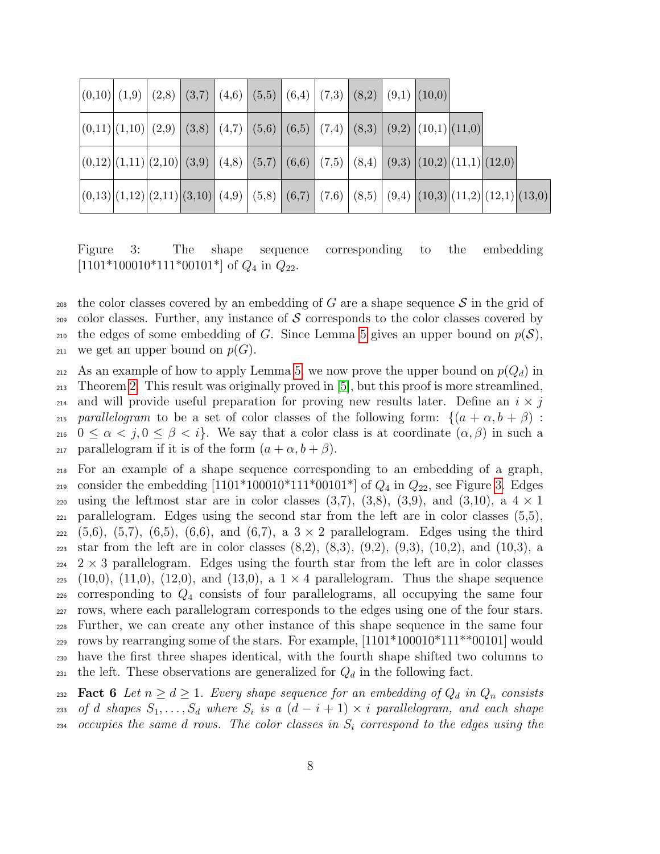| $\vert (0,10) \vert (1,9) \vert (2,8) \vert (3,7) \vert (4,6) \vert (5,5) \vert (6,4) \vert (7,3) \vert (8,2) \vert (9,1) \vert (10,0) \vert (10,1)$ |  |  |  |  |  |  |  |
|------------------------------------------------------------------------------------------------------------------------------------------------------|--|--|--|--|--|--|--|
| $ (0,11) (1,10) (2,9) (3,8) (4,7) (5,6) (6,5) (7,4) (8,3) (9,2) (10,1) (11,0) $                                                                      |  |  |  |  |  |  |  |
| $ (0,12) (1,11) (2,10) (3,9) (4,8) (5,7) (6,6) (7,5) (8,4) (9,3) (10,2) (11,1) (12,0) $                                                              |  |  |  |  |  |  |  |
| $ (0,13) (1,12) (2,11) (3,10)  (4,9)   (5,8)   (6,7)   (7,6)   (8,5)   (9,4)   (10,3)   (11,2)   (12,1)   (13,0)$                                    |  |  |  |  |  |  |  |

<span id="page-7-0"></span>Figure 3: The shape sequence corresponding to the embedding  $[1101*100010*111*00101*]$  of  $Q_4$  in  $Q_{22}$ .

<sub>208</sub> the color classes covered by an embedding of G are a shape sequence S in the grid of  $209$  color classes. Further, any instance of S corresponds to the color classes covered by 210 the edges of some embedding of G. Since Lemma [5](#page-5-0) gives an upper bound on  $p(S)$ , 211 we get an upper bound on  $p(G)$ .

212 As an example of how to apply Lemma [5,](#page-5-0) we now prove the upper bound on  $p(Q_d)$  in <sup>213</sup> Theorem [2.](#page-1-1) This result was originally proved in [\[5\]](#page-21-1), but this proof is more streamlined, 214 and will provide useful preparation for proving new results later. Define an  $i \times j$ 215 parallelogram to be a set of color classes of the following form:  $\{(a + \alpha, b + \beta)$ : 216  $0 \leq \alpha < j, 0 \leq \beta < i$ . We say that a color class is at coordinate  $(\alpha, \beta)$  in such a 217 parallelogram if it is of the form  $(a + \alpha, b + \beta)$ .

<sup>218</sup> For an example of a shape sequence corresponding to an embedding of a graph, 219 consider the embedding  $[1101*100010*111*00101*]$  of  $Q_4$  in  $Q_{22}$ , see Figure [3.](#page-7-0) Edges 220 using the leftmost star are in color classes  $(3,7)$ ,  $(3,8)$ ,  $(3,9)$ , and  $(3,10)$ , a  $4 \times 1$  $_{221}$  parallelogram. Edges using the second star from the left are in color classes  $(5,5)$ ,  $222 (5,6), (5,7), (6,5), (6,6),$  and  $(6,7),$  a  $3 \times 2$  parallelogram. Edges using the third 223 star from the left are in color classes  $(8,2)$ ,  $(8,3)$ ,  $(9,2)$ ,  $(9,3)$ ,  $(10,2)$ , and  $(10,3)$ , a  $224$  2  $\times$  3 parallelogram. Edges using the fourth star from the left are in color classes  $_{225}$  (10,0), (11,0), (12,0), and (13,0), a  $1 \times 4$  parallelogram. Thus the shape sequence <sup>226</sup> corresponding to Q<sup>4</sup> consists of four parallelograms, all occupying the same four <sup>227</sup> rows, where each parallelogram corresponds to the edges using one of the four stars. <sup>228</sup> Further, we can create any other instance of this shape sequence in the same four <sup>229</sup> rows by rearranging some of the stars. For example,  $[1101*100010*111**00101]$  would <sup>230</sup> have the first three shapes identical, with the fourth shape shifted two columns to 231 the left. These observations are generalized for  $Q_d$  in the following fact.

<span id="page-7-1"></span>232 **Fact 6** Let  $n \geq d \geq 1$ . Every shape sequence for an embedding of  $Q_d$  in  $Q_n$  consists <sup>233</sup> of d shapes  $S_1, \ldots, S_d$  where  $S_i$  is a  $(d-i+1) \times i$  parallelogram, and each shape 234 occupies the same d rows. The color classes in  $S_i$  correspond to the edges using the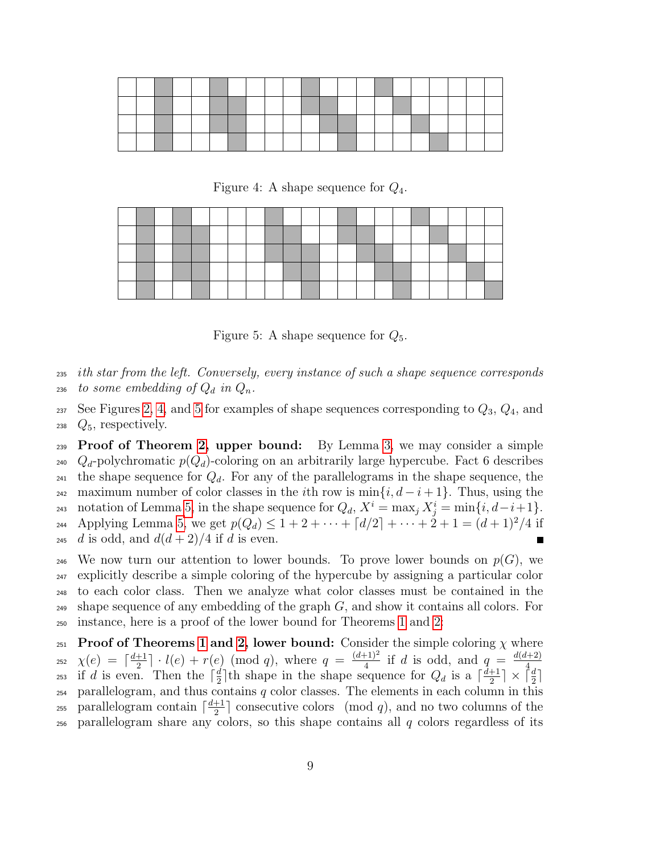<span id="page-8-0"></span>Figure 4: A shape sequence for  $Q_4$ .

<span id="page-8-1"></span>Figure 5: A shape sequence for  $Q_5$ .

<sup>235</sup> ith star from the left. Conversely, every instance of such a shape sequence corresponds 236 to some embedding of  $Q_d$  in  $Q_n$ .

 $237$  See Figures [2,](#page-5-1) [4,](#page-8-0) and [5](#page-8-1) for examples of shape sequences corresponding to  $Q_3$ ,  $Q_4$ , and  $_{238}$   $Q_5$ , respectively.

**239 Proof of Theorem [2,](#page-1-1) upper bound:** By Lemma [3,](#page-2-1) we may consider a simple <sup>240</sup>  $Q_d$ -polychromatic  $p(Q_d)$ -coloring on an arbitrarily large hypercube. Fact 6 describes <sup>241</sup> the shape sequence for  $Q_d$ . For any of the parallelograms in the shape sequence, the 242 maximum number of color classes in the *i*th row is  $\min\{i, d-i+1\}$ . Thus, using the 243 notation of Lemma [5,](#page-5-0) in the shape sequence for  $Q_d$ ,  $X^i = \max_j X^i_j = \min\{i, d-i+1\}.$ 244 Applying Lemma [5,](#page-5-0) we get  $p(Q_d) \leq 1 + 2 + \cdots + \lceil d/2 \rceil + \cdots + 2 + 1 = (d+1)^2/4$  if <sup>245</sup> d is odd, and  $d(d+2)/4$  if d is even.

<sup>246</sup> We now turn our attention to lower bounds. To prove lower bounds on  $p(G)$ , we <sup>247</sup> explicitly describe a simple coloring of the hypercube by assigning a particular color <sup>248</sup> to each color class. Then we analyze what color classes must be contained in the  $_{249}$  shape sequence of any embedding of the graph  $G$ , and show it contains all colors. For <sup>250</sup> instance, here is a proof of the lower bound for Theorems [1](#page-1-0) and [2:](#page-1-1)

251 Proof of Theorems [1](#page-1-0) and [2,](#page-1-1) lower bound: Consider the simple coloring  $\chi$  where  $\chi(e) = \left\lceil \frac{d+1}{2} \right\rceil$  $\frac{+1}{2}$ ]  $\cdot$  *l*(*e*) + *r*(*e*) (mod *q*), where  $q = \frac{(d+1)^2}{4}$  $\frac{(n+1)^2}{4}$  if d is odd, and  $q = \frac{d(d+2)}{4}$ if d is even. Then the  $\lceil \frac{d}{2} \rceil$ th shape in the shape sequence for  $Q_d$  is a  $\lceil \frac{d+1}{2} \rceil \times \lceil$ 252  $\frac{d}{2}$  th shape in the shape sequence for  $Q_d$  is a  $\lceil \frac{d+1}{2} \rceil$ <sup>253</sup> if d is even. Then the  $\lceil \frac{d}{2} \rceil$ th shape in the shape sequence for  $Q_d$  is a  $\lceil \frac{d+1}{2} \rceil \times \lceil \frac{d}{2} \rceil$  $_{254}$  parallelogram, and thus contains  $q$  color classes. The elements in each column in this parallelogram contain  $\lceil \frac{d+1}{2} \rceil$ <sup>255</sup> parallelogram contain  $\lceil \frac{d+1}{2} \rceil$  consecutive colors (mod q), and no two columns of the  $_{256}$  parallelogram share any colors, so this shape contains all q colors regardless of its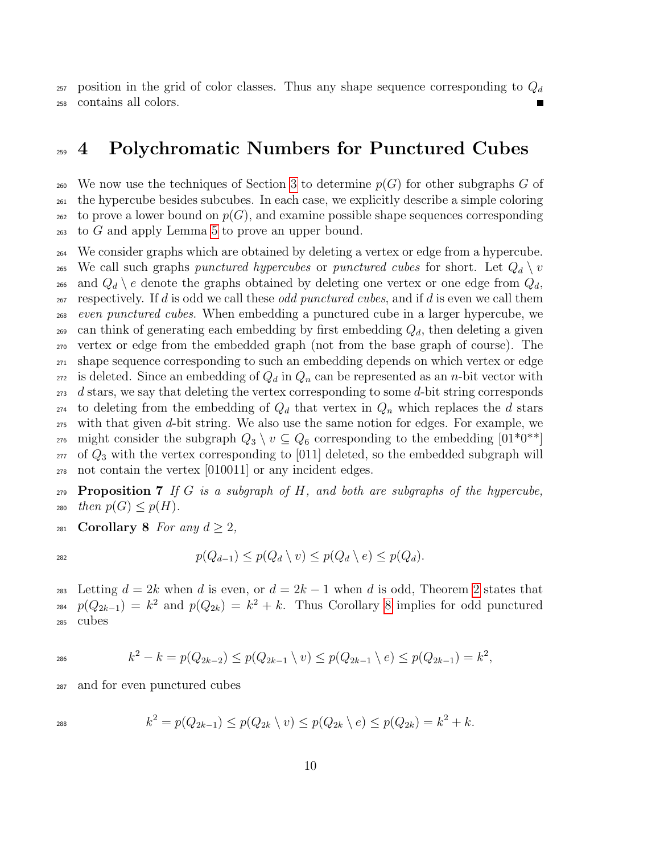$_{257}$  position in the grid of color classes. Thus any shape sequence corresponding to  $Q_d$ <sup>258</sup> contains all colors.

#### <span id="page-9-0"></span><sup>259</sup> 4 Polychromatic Numbers for Punctured Cubes

260 We now use the techniques of Section [3](#page-3-0) to determine  $p(G)$  for other subgraphs G of <sup>261</sup> the hypercube besides subcubes. In each case, we explicitly describe a simple coloring  $262$  to prove a lower bound on  $p(G)$ , and examine possible shape sequences corresponding  $_{263}$  to G and apply Lemma [5](#page-5-0) to prove an upper bound.

<sup>264</sup> We consider graphs which are obtained by deleting a vertex or edge from a hypercube. <sup>265</sup> We call such graphs *punctured hypercubes* or *punctured cubes* for short. Let  $Q_d \setminus v$ 266 and  $Q_d \setminus e$  denote the graphs obtained by deleting one vertex or one edge from  $Q_d$ ,  $_{267}$  respectively. If d is odd we call these *odd punctured cubes*, and if d is even we call them <sup>268</sup> even punctured cubes. When embedding a punctured cube in a larger hypercube, we <sub>269</sub> can think of generating each embedding by first embedding  $Q_d$ , then deleting a given <sup>270</sup> vertex or edge from the embedded graph (not from the base graph of course). The <sup>271</sup> shape sequence corresponding to such an embedding depends on which vertex or edge  $_{272}$  is deleted. Since an embedding of  $Q_d$  in  $Q_n$  can be represented as an *n*-bit vector with  $273$  d stars, we say that deleting the vertex corresponding to some d-bit string corresponds <sub>274</sub> to deleting from the embedding of  $Q_d$  that vertex in  $Q_n$  which replaces the d stars <sup>275</sup> with that given d-bit string. We also use the same notion for edges. For example, we 276 might consider the subgraph  $Q_3 \setminus v \subseteq Q_6$  corresponding to the embedding  $[01^*0^{**}]$  $_{277}$  of  $Q_3$  with the vertex corresponding to [011] deleted, so the embedded subgraph will <sup>278</sup> not contain the vertex [010011] or any incident edges.

**Proposition 7** If G is a subgraph of H, and both are subgraphs of the hypercube, 280 then  $p(G) \leq p(H)$ .

<span id="page-9-1"></span>281 Corollary 8 For any  $d \geq 2$ ,

$$
p(Q_{d-1}) \le p(Q_d \setminus v) \le p(Q_d \setminus e) \le p(Q_d).
$$

283 Letting  $d = 2k$  $d = 2k$  $d = 2k$  when d is even, or  $d = 2k - 1$  when d is odd, Theorem 2 states that <sub>284</sub>  $p(Q_{2k-1}) = k^2$  and  $p(Q_{2k}) = k^2 + k$ . Thus Corollary [8](#page-9-1) implies for odd punctured <sup>285</sup> cubes

$$
k^2 - k = p(Q_{2k-2}) \le p(Q_{2k-1} \setminus v) \le p(Q_{2k-1} \setminus e) \le p(Q_{2k-1}) = k^2,
$$

<sup>287</sup> and for even punctured cubes

$$
k^2 = p(Q_{2k-1}) \le p(Q_{2k} \setminus v) \le p(Q_{2k} \setminus e) \le p(Q_{2k}) = k^2 + k.
$$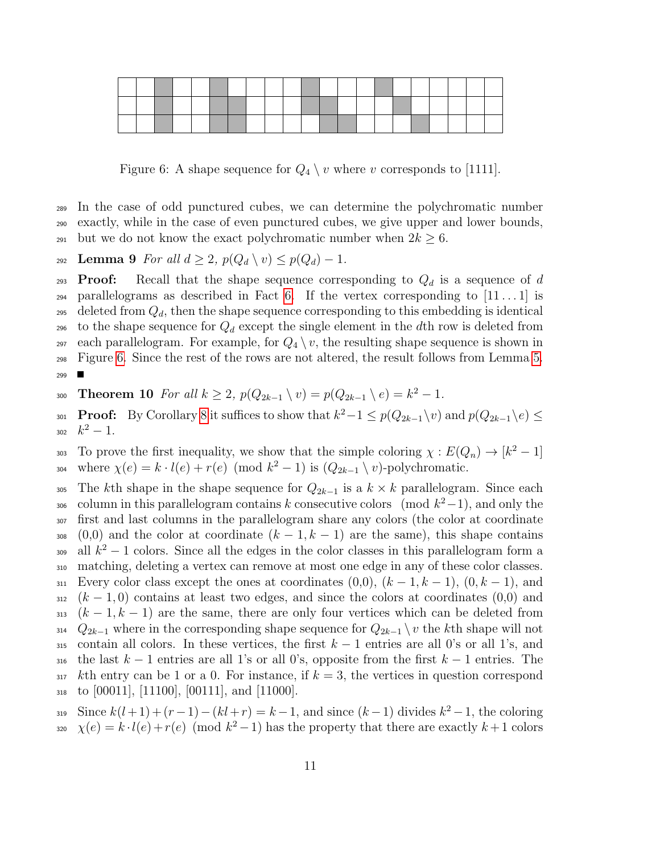

<span id="page-10-1"></span>Figure 6: A shape sequence for  $Q_4 \setminus v$  where v corresponds to [1111].

<sup>289</sup> In the case of odd punctured cubes, we can determine the polychromatic number <sup>290</sup> exactly, while in the case of even punctured cubes, we give upper and lower bounds, 291 but we do not know the exact polychromatic number when  $2k \geq 6$ .

<span id="page-10-2"></span>292 Lemma 9 For all  $d \geq 2$ ,  $p(Q_d \setminus v) \leq p(Q_d) - 1$ .

**Proof:** Recall that the shape sequence corresponding to  $Q_d$  is a sequence of d  $_{294}$  parallelograms as described in Fact [6.](#page-7-1) If the vertex corresponding to  $[11 \dots 1]$  is 295 deleted from  $Q_d$ , then the shape sequence corresponding to this embedding is identical 296 to the shape sequence for  $Q_d$  except the single element in the dth row is deleted from 297 each parallelogram. For example, for  $Q_4 \setminus v$ , the resulting shape sequence is shown in <sup>298</sup> Figure [6.](#page-10-1) Since the rest of the rows are not altered, the result follows from Lemma [5.](#page-5-0)  $\blacksquare$ 299

<span id="page-10-0"></span>300 **Theorem 10** For all  $k \geq 2$ ,  $p(Q_{2k-1} \setminus v) = p(Q_{2k-1} \setminus e) = k^2 - 1$ .

301 **Proof:** By Corollary [8](#page-9-1) it suffices to show that  $k^2 - 1 \leq p(Q_{2k-1}\setminus v)$  and  $p(Q_{2k-1}\setminus e) \leq$ 302  $k^2-1$ .

303 To prove the first inequality, we show that the simple coloring  $\chi : E(Q_n) \to [k^2 - 1]$ where  $\chi(e) = k \cdot l(e) + r(e) \pmod{k^2 - 1}$  is  $(Q_{2k-1} \setminus v)$ -polychromatic.

305 The kth shape in the shape sequence for  $Q_{2k-1}$  is a  $k \times k$  parallelogram. Since each <sup>306</sup> column in this parallelogram contains k consecutive colors (mod  $k^2-1$ ), and only the <sup>307</sup> first and last columns in the parallelogram share any colors (the color at coordinate 308 (0,0) and the color at coordinate  $(k-1, k-1)$  are the same), this shape contains all  $k^2 - 1$  colors. Since all the edges in the color classes in this parallelogram form a <sup>310</sup> matching, deleting a vertex can remove at most one edge in any of these color classes. 311 Every color class except the ones at coordinates  $(0,0)$ ,  $(k-1,k-1)$ ,  $(0,k-1)$ , and  $312 \left(k-1,0\right)$  contains at least two edges, and since the colors at coordinates (0,0) and 313  $(k-1, k-1)$  are the same, there are only four vertices which can be deleted from 314  $Q_{2k-1}$  where in the corresponding shape sequence for  $Q_{2k-1} \setminus v$  the kth shape will not 315 contain all colors. In these vertices, the first  $k-1$  entries are all 0's or all 1's, and 316 the last  $k-1$  entries are all 1's or all 0's, opposite from the first  $k-1$  entries. The  $317$  kth entry can be 1 or a 0. For instance, if  $k = 3$ , the vertices in question correspond  $_{318}$  to [00011], [11100], [00111], and [11000].

Since  $k(l+1) + (r-1) - (kl+r) = k-1$ , and since  $(k-1)$  divides  $k^2 - 1$ , the coloring 320  $\chi(e) = k \cdot l(e) + r(e) \pmod{k^2 - 1}$  has the property that there are exactly  $k + 1$  colors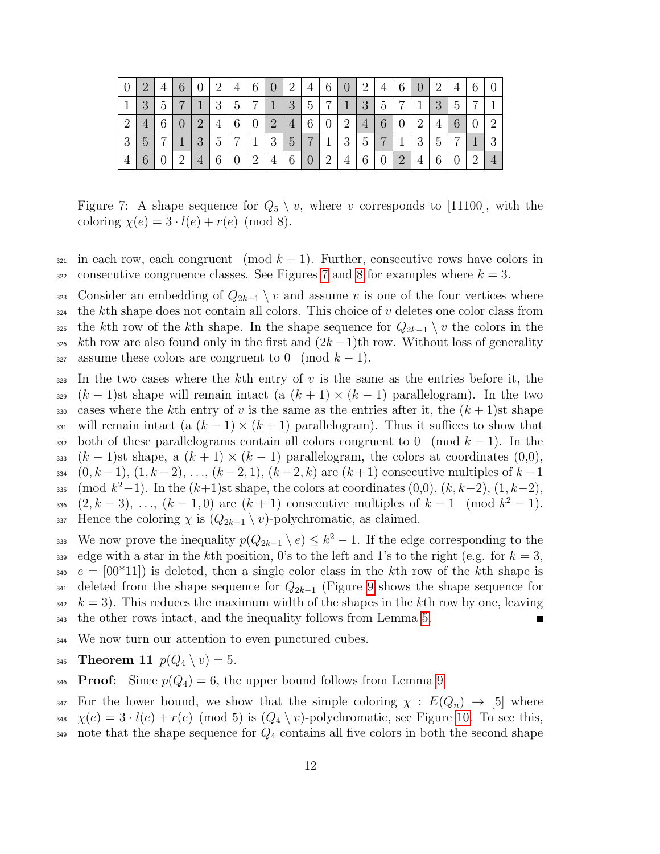| $\theta$       |               | $\overline{4}$ | 6              |                | $\overline{2}$  | 4              | 6              | $\theta$       | $\overline{2}$ | 4              | 6              | $\theta$       | $\overline{2}$ | 4              | 6              |                | 2              | 4        | 6              |          |
|----------------|---------------|----------------|----------------|----------------|-----------------|----------------|----------------|----------------|----------------|----------------|----------------|----------------|----------------|----------------|----------------|----------------|----------------|----------|----------------|----------|
|                | 3             | 5              |                |                | 3               | 5              | $\overline{ }$ | $\mathbf{1}$   | 3              | 5              | ⇁              | 1              | 3              | 5              | $\overline{ }$ | 1              | 3              | 5        |                |          |
| $\overline{2}$ |               | 6              | $\overline{0}$ | $\overline{2}$ | 4               | 6              | $\theta$       | $\overline{2}$ | $\overline{4}$ | 6              | $\overline{0}$ | $\overline{2}$ | $\overline{4}$ | 6              | $\theta$       | $\overline{2}$ | 4              | 6        |                | റ        |
| 3              | $\mathcal{C}$ | $\overline{ }$ |                | 3              | $5\overline{)}$ | $\overline{ }$ | 1              | 3              | $\overline{5}$ | $\overline{ }$ | 1              | 3              | $\overline{5}$ | $\overline{ }$ | 1              | 3              | $\overline{5}$ | ⇁        |                | $\Omega$ |
|                |               |                | $\overline{2}$ | $\overline{4}$ | 6               | $\overline{0}$ | $\overline{2}$ | $\overline{4}$ | 6              | $\overline{0}$ | $\overline{2}$ | 4              | 6              | $\theta$       | $\overline{2}$ | 4              | 6              | $\theta$ | $\overline{2}$ |          |

<span id="page-11-1"></span>Figure 7: A shape sequence for  $Q_5 \setminus v$ , where v corresponds to [11100], with the coloring  $\chi(e) = 3 \cdot l(e) + r(e) \pmod{8}$ .

- in each row, each congruent (mod  $k-1$ ). Further, consecutive rows have colors in 322 consecutive congruence classes. See Figures [7](#page-11-1) and [8](#page-12-1) for examples where  $k = 3$ .
- 323 Consider an embedding of  $Q_{2k-1} \setminus v$  and assume v is one of the four vertices where the kth shape does not contain all colors. This choice of v deletes one color class from <sup>325</sup> the kth row of the kth shape. In the shape sequence for  $Q_{2k-1} \setminus v$  the colors in the kth row are also found only in the first and  $(2k-1)$ th row. Without loss of generality 327 assume these colors are congruent to 0 (mod  $k-1$ ).
- In the two cases where the kth entry of v is the same as the entries before it, the  $329 (k-1)$ st shape will remain intact (a  $(k+1) \times (k-1)$ ) parallelogram). In the two 330 cases where the kth entry of v is the same as the entries after it, the  $(k+1)$ st shape 331 will remain intact (a  $(k-1) \times (k+1)$  parallelogram). Thus it suffices to show that 332 both of these parallelograms contain all colors congruent to 0 (mod  $k-1$ ). In the 333 (k − 1)st shape, a  $(k + 1) \times (k - 1)$  parallelogram, the colors at coordinates (0,0), 334  $(0, k-1), (1, k-2), \ldots, (k-2, 1), (k-2, k)$  are  $(k+1)$  consecutive multiples of  $k-1$  $_{335}$  (mod  $k^2-1$ ). In the  $(k+1)$ st shape, the colors at coordinates  $(0,0)$ ,  $(k, k-2)$ ,  $(1, k-2)$ , 336  $(2, k-3), \ldots, (k-1, 0)$  are  $(k+1)$  consecutive multiples of  $k-1 \pmod{k^2-1}$ . 337 Hence the coloring  $\chi$  is  $(Q_{2k-1} \setminus v)$ -polychromatic, as claimed.
- 338 We now prove the inequality  $p(Q_{2k-1} \setminus e) \leq k^2 1$ . If the edge corresponding to the 339 edge with a star in the kth position, 0's to the left and 1's to the right (e.g. for  $k = 3$ ,  $e = [00*11]$  is deleted, then a single color class in the kth row of the kth shape is deleted from the shape sequence for  $Q_{2k-1}$  (Figure [9](#page-12-2) shows the shape sequence for  $s_{42}$   $k = 3$ ). This reduces the maximum width of the shapes in the kth row by one, leaving the other rows intact, and the inequality follows from Lemma [5.](#page-5-0)
- We now turn our attention to even punctured cubes.
- <span id="page-11-0"></span>345 Theorem 11  $p(Q_4 \setminus v) = 5$ .
- 346 **Proof:** Since  $p(Q_4) = 6$ , the upper bound follows from Lemma [9.](#page-10-2)
- 347 For the lower bound, we show that the simple coloring  $\chi : E(Q_n) \to [5]$  where 348  $\chi(e) = 3 \cdot l(e) + r(e) \pmod{5}$  is  $(Q_4 \setminus v)$ -polychromatic, see Figure [10.](#page-12-3) To see this,
- 349 note that the shape sequence for  $Q_4$  contains all five colors in both the second shape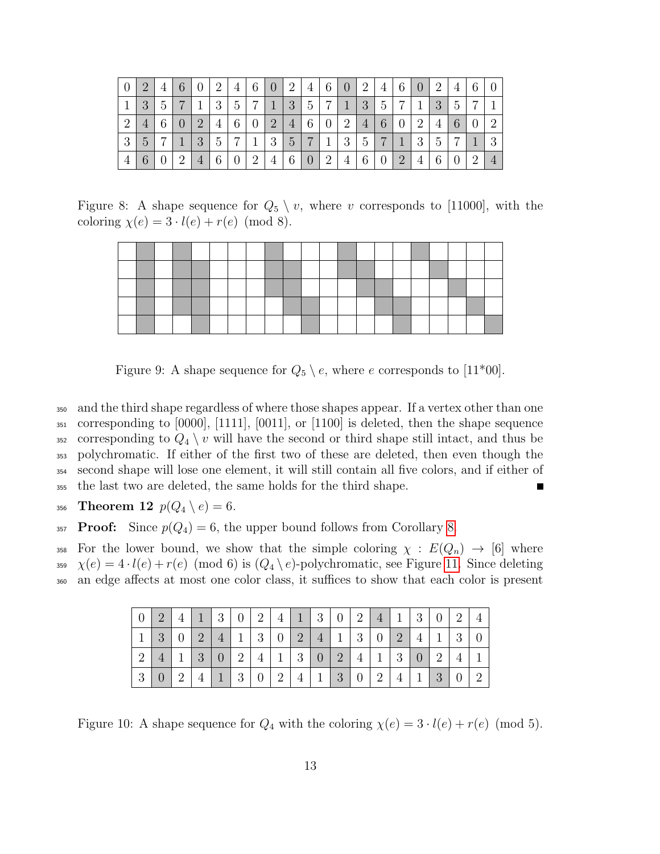|                |   | $\overline{4}$ | 6              | $\theta$       | $\overline{2}$  | 4              | 6              |                | 2              | 4               | $\sqrt{6}$     | $\overline{0}$ | $\overline{2}$ | 4              | 6              | $\overline{0}$ | 2 | $\overline{4}$ | 6              |              |
|----------------|---|----------------|----------------|----------------|-----------------|----------------|----------------|----------------|----------------|-----------------|----------------|----------------|----------------|----------------|----------------|----------------|---|----------------|----------------|--------------|
|                | 3 | 5              | $\overline{7}$ |                | 3               | 5              | $\overline{ }$ | $\mathbf{1}$   | 3              | $5\overline{)}$ | $\overline{ }$ | 1              | 3              | 5              | ⇁              |                | 3 | 5              |                |              |
| $\overline{2}$ | 4 | 6              | $\overline{0}$ | $\overline{2}$ | 4               | 6              | $\theta$       | $\overline{2}$ | $\overline{4}$ | 6               | $\theta$       | $\overline{2}$ | $\overline{4}$ | 6              | $\theta$       | $\overline{2}$ | 4 | 6              |                | റ            |
| 3              | 5 | $\overline{ }$ |                | 3              | $5\overline{)}$ | $\overline{ }$ | 1              | 3              | $\overline{5}$ | $\overline{ }$  |                | 3              | 5              | $\overline{ }$ |                | 3              | 5 |                |                | $\mathbf{Q}$ |
|                |   |                | $\overline{2}$ | $\overline{4}$ | 6               | $\overline{0}$ | $\overline{2}$ | 4              | 6              | $\overline{0}$  | 2              | 4              | 6              | $\overline{0}$ | $\overline{2}$ | 4              | 6 |                | $\overline{2}$ |              |

Figure 8: A shape sequence for  $Q_5 \setminus v$ , where v corresponds to [11000], with the coloring  $\chi(e) = 3 \cdot l(e) + r(e) \pmod{8}$ .

<span id="page-12-1"></span>

<span id="page-12-2"></span>Figure 9: A shape sequence for  $Q_5 \setminus e$ , where e corresponds to [11\*00].

 and the third shape regardless of where those shapes appear. If a vertex other than one corresponding to [0000], [1111], [0011], or [1100] is deleted, then the shape sequence 352 corresponding to  $Q_4 \setminus v$  will have the second or third shape still intact, and thus be polychromatic. If either of the first two of these are deleted, then even though the second shape will lose one element, it will still contain all five colors, and if either of the last two are deleted, the same holds for the third shape.

<span id="page-12-0"></span>356 Theorem 12  $p(Q_4 \setminus e) = 6$ .

357 **Proof:** Since  $p(Q_4) = 6$ , the upper bound follows from Corollary [8.](#page-9-1)

358 For the lower bound, we show that the simple coloring  $\chi : E(Q_n) \to [6]$  where 359  $\chi(e) = 4 \cdot l(e) + r(e) \pmod{6}$  is  $(Q_4 \setminus e)$ -polychromatic, see Figure [11.](#page-13-1) Since deleting an edge affects at most one color class, it suffices to show that each color is present

|   | $\overline{2}$ |                | $\mathbf{1}$   | $\lceil 3 \rceil$ | $\overline{0}$ | $2 \mid 4$     |     |                | 1302            |                     |               | $\overline{4}$                                              |                | $1 \mid 3 \mid 0 \mid 2$ |                 |  |
|---|----------------|----------------|----------------|-------------------|----------------|----------------|-----|----------------|-----------------|---------------------|---------------|-------------------------------------------------------------|----------------|--------------------------|-----------------|--|
|   | 3              | $\overline{0}$ | $\overline{2}$ | $\sqrt{4}$        |                |                |     |                |                 |                     |               | $1 \mid 3 \mid 0 \mid 2 \mid 4 \mid 1 \mid 3 \mid 0 \mid 2$ |                | 4                        | $1 \mid 3 \mid$ |  |
|   | 4              |                | $\overline{3}$ | $\vert 0 \vert$   | 2              | $\overline{4}$ | 130 |                |                 | $\lfloor 2 \rfloor$ | $\parallel$ 4 |                                                             |                | 1302                     |                 |  |
| 3 |                | $\overline{2}$ | $\overline{4}$ | $\left  \right $  | 3              | $\overline{0}$ | 2   | $\overline{4}$ | $\vert 1 \vert$ | $\vert 3 \vert$     | $\parallel 0$ | $\overline{2}$                                              | $\overline{4}$ | $\mid 1 \mid 3 \mid 0$   |                 |  |

<span id="page-12-3"></span>Figure 10: A shape sequence for  $Q_4$  with the coloring  $\chi(e) = 3 \cdot l(e) + r(e) \pmod{5}$ .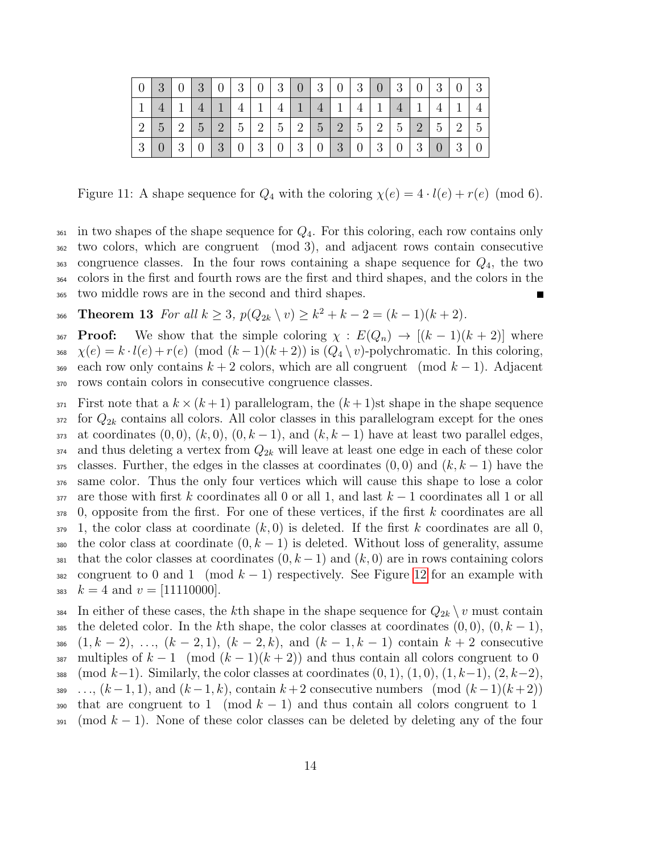|                |                               |                |                |            |            |  |                          |   |                                                   |   |   | -3 |
|----------------|-------------------------------|----------------|----------------|------------|------------|--|--------------------------|---|---------------------------------------------------|---|---|----|
|                |                               | $\overline{4}$ | $\overline{4}$ | $1 \mid 4$ | $\vert$ 17 |  | $4 \mid 1 \mid 4 \mid 1$ | 4 | $\mathbf{1}$                                      | 4 | 1 |    |
| $\overline{2}$ | $5\overline{)}$               | $2 \mid 5$     |                |            |            |  |                          |   | 2   5   2   5   2   5   2   5   2   5   2   5   2 |   |   | 5  |
|                | 0 3 03 03 03 0303030303030303 |                |                |            |            |  |                          |   |                                                   |   |   |    |

<span id="page-13-1"></span>Figure 11: A shape sequence for  $Q_4$  with the coloring  $\chi(e) = 4 \cdot l(e) + r(e) \pmod{6}$ .

 $_{361}$  in two shapes of the shape sequence for  $Q_4$ . For this coloring, each row contains only two colors, which are congruent (mod 3), and adjacent rows contain consecutive congruence classes. In the four rows containing a shape sequence for  $Q_4$ , the two colors in the first and fourth rows are the first and third shapes, and the colors in the two middle rows are in the second and third shapes. Ē

<span id="page-13-0"></span>366 Theorem 13 For all  $k \geq 3$ ,  $p(Q_{2k} \setminus v) \geq k^2 + k - 2 = (k-1)(k+2)$ .

**Proof:** We show that the simple coloring  $\chi : E(Q_n) \to [(k-1)(k+2)]$  where  $\chi(e) = k \cdot l(e) + r(e) \pmod{(k-1)(k+2)}$  is  $(Q_4 \setminus v)$ -polychromatic. In this coloring, 369 each row only contains  $k + 2$  colors, which are all congruent (mod  $k - 1$ ). Adjacent rows contain colors in consecutive congruence classes.

 First note that a  $k \times (k+1)$  parallelogram, the  $(k+1)$ st shape in the shape sequence for  $Q_{2k}$  contains all colors. All color classes in this parallelogram except for the ones 373 at coordinates  $(0,0)$ ,  $(k,0)$ ,  $(0,k-1)$ , and  $(k,k-1)$  have at least two parallel edges, and thus deleting a vertex from  $Q_{2k}$  will leave at least one edge in each of these color classes. Further, the edges in the classes at coordinates  $(0,0)$  and  $(k, k-1)$  have the same color. Thus the only four vertices which will cause this shape to lose a color are those with first k coordinates all 0 or all 1, and last  $k-1$  coordinates all 1 or all 0, opposite from the first. For one of these vertices, if the first k coordinates are all  $379 \quad 1$ , the color class at coordinate  $(k, 0)$  is deleted. If the first k coordinates are all 0, 380 the color class at coordinate  $(0, k - 1)$  is deleted. Without loss of generality, assume that the color classes at coordinates  $(0, k-1)$  and  $(k, 0)$  are in rows containing colors 382 congruent to 0 and 1 (mod  $k-1$ ) respectively. See Figure [12](#page-14-1) for an example with  $k = 4$  and  $v = [11110000]$ .

384 In either of these cases, the kth shape in the shape sequence for  $Q_{2k} \setminus v$  must contain 385 the deleted color. In the kth shape, the color classes at coordinates  $(0,0)$ ,  $(0,k-1)$ , 386  $(1, k-2), \ldots, (k-2, 1), (k-2, k),$  and  $(k-1, k-1)$  contain  $k+2$  consecutive 387 multiples of  $k-1 \pmod{(k-1)(k+2)}$  and thus contain all colors congruent to 0 388 (mod k−1). Similarly, the color classes at coordinates  $(0, 1)$ ,  $(1, 0)$ ,  $(1, k-1)$ ,  $(2, k-2)$ , 389 ...,  $(k-1,1)$ , and  $(k-1,k)$ , contain  $k+2$  consecutive numbers (mod  $(k-1)(k+2)$ ) 390 that are congruent to 1 (mod  $k-1$ ) and thus contain all colors congruent to 1  $391 \pmod{k-1}$ . None of these color classes can be deleted by deleting any of the four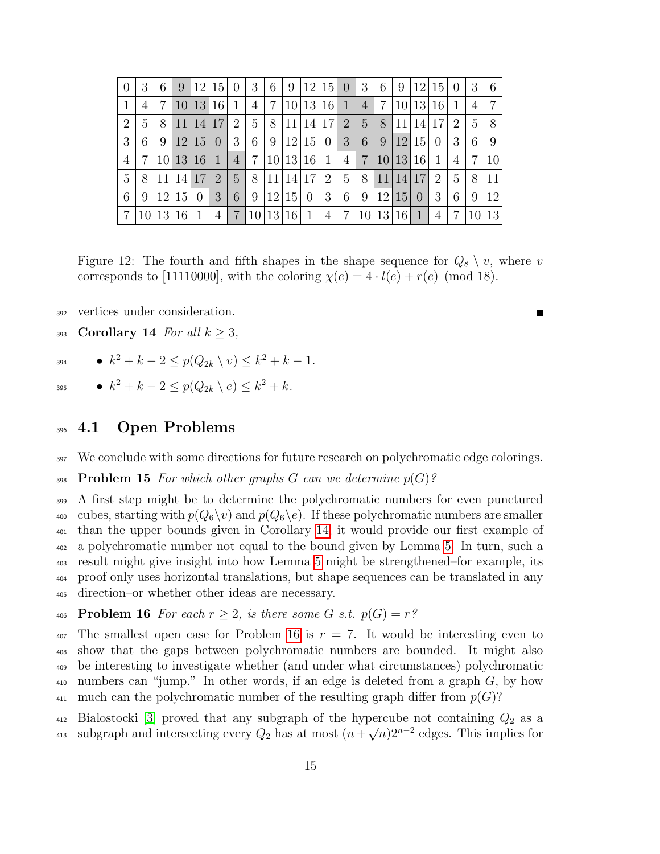| $\overline{0}$ | 3 | 6             | 9     |                 | 12 15          | $\theta$       | 3              | 6             | 9               |                | 12 15 0         |                | 3              | 6         | 9               | 12             | 15             | $\left( \right)$ | 3                | 6  |
|----------------|---|---------------|-------|-----------------|----------------|----------------|----------------|---------------|-----------------|----------------|-----------------|----------------|----------------|-----------|-----------------|----------------|----------------|------------------|------------------|----|
|                | 4 | 7             | 10    |                 | 13 16          | -1             | 4              | 7             |                 | 10 13          | <sup>16</sup>   | $\mathbf{1}$   | $\overline{4}$ | 7         | 10              | 13             | 16             | 1                | $\overline{4}$   | 7  |
| 2              | 5 | 8             | 11    | 14              | 17             | 2              | 5              | 8             | 11 <sup>1</sup> | 14             | 17 <sup>1</sup> | $\overline{2}$ | 5 <sup>5</sup> | 8         | 11              | 14             | 17             | $\overline{2}$   | 5                | 8  |
| 3              | 6 | 9             | 12    | 15 <sup>1</sup> | $\overline{0}$ | 3              | 6              | 9             |                 | 12 15          | $\overline{0}$  | 3              | 6              | 9         | $ 12\rangle$    | 15             | $\overline{0}$ | 3                | 6                | 9  |
| 4              | 7 |               | 10 13 | 16 <sup>1</sup> | 1              | $\overline{4}$ | $\overline{7}$ | <b>10</b>     | 13              | <b>16</b>      | -1              | $\overline{4}$ | $\overline{7}$ |           |                 | 10 13 16       | 1              | 4                | 7                | 10 |
| 5              | 8 | 11            | 14    | 17              | $\overline{2}$ | 5              | 8              | 11            | <b>14</b>       | 17             | $\overline{2}$  | 5              | 8              | 11        | 14              | 17             | $\overline{2}$ | 5                | 8                | 11 |
| 6              | 9 | <sup>12</sup> | 15    | $\overline{0}$  | 3              | 6              | 9              | <sup>12</sup> | 15 <sup>1</sup> | $\overline{0}$ | 3               | 6              | 9              | <b>12</b> | 15 <sub>l</sub> | $\overline{0}$ | 3              | 6                | 9                | 12 |
| 7              |   | 13            | 16    | 1               | 4              | $\overline{7}$ | 10             | 13            | 16 <sup>1</sup> | 1              | $\overline{4}$  | 7              | 10             | 13        | 16 <sup>1</sup> | 1              | 4              | 7                | 10 <sup>-1</sup> | 13 |

<span id="page-14-1"></span>Figure 12: The fourth and fifth shapes in the shape sequence for  $Q_8 \setminus v$ , where v corresponds to [11110000], with the coloring  $\chi(e) = 4 \cdot l(e) + r(e)$  (mod 18).

Г

<span id="page-14-0"></span>vertices under consideration.

- 393 Corollary 14 For all  $k > 3$ ,
- 394  $k^2 + k 2 \le p(Q_{2k} \setminus v) \le k^2 + k 1$ .
- 395  $\bullet$   $k^2 + k 2 \leq p(Q_{2k} \setminus e) \leq k^2 + k$ .

#### 4.1 Open Problems

- We conclude with some directions for future research on polychromatic edge colorings.
- 398 **Problem 15** For which other graphs G can we determine  $p(G)$ ?

 A first step might be to determine the polychromatic numbers for even punctured 400 cubes, starting with  $p(Q_6\backslash v)$  and  $p(Q_6\backslash e)$ . If these polychromatic numbers are smaller than the upper bounds given in Corollary [14,](#page-14-0) it would provide our first example of a polychromatic number not equal to the bound given by Lemma [5.](#page-5-0) In turn, such a result might give insight into how Lemma [5](#page-5-0) might be strengthened–for example, its proof only uses horizontal translations, but shape sequences can be translated in any direction–or whether other ideas are necessary.

<span id="page-14-2"></span>406 Problem 16 For each  $r \geq 2$ , is there some G s.t.  $p(G) = r^2$ 

 The smallest open case for Problem [16](#page-14-2) is  $r = 7$ . It would be interesting even to show that the gaps between polychromatic numbers are bounded. It might also be interesting to investigate whether (and under what circumstances) polychromatic numbers can "jump." In other words, if an edge is deleted from a graph G, by how 411 much can the polychromatic number of the resulting graph differ from  $p(G)$ ?

 $_{412}$  Bialostocki [\[3\]](#page-21-6) proved that any subgraph of the hypercube not containing  $Q_2$  as a subgraph and intersecting every  $Q_2$  has at most  $(n+$  $\frac{1}{412}$  Blatostocki [5] proved that any subgraph of the hypercube not containing  $Q_2$  as a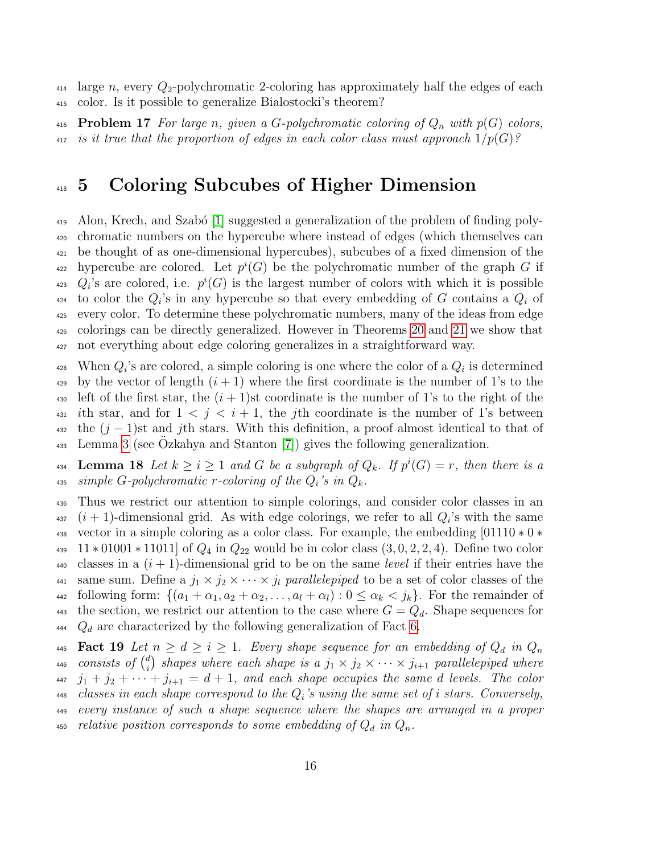$_{414}$  large n, every  $Q_2$ -polychromatic 2-coloring has approximately half the edges of each <sup>415</sup> color. Is it possible to generalize Bialostocki's theorem?

416 **Problem 17** For large n, given a G-polychromatic coloring of  $Q_n$  with  $p(G)$  colors, 417 is it true that the proportion of edges in each color class must approach  $1/p(G)$ ?

### <span id="page-15-0"></span><sup>418</sup> 5 Coloring Subcubes of Higher Dimension

 $\mu_{19}$  Alon, Krech, and Szabó [\[1\]](#page-21-0) suggested a generalization of the problem of finding poly-<sup>420</sup> chromatic numbers on the hypercube where instead of edges (which themselves can <sup>421</sup> be thought of as one-dimensional hypercubes), subcubes of a fixed dimension of the <sup>422</sup> hypercube are colored. Let  $p^i(G)$  be the polychromatic number of the graph G if <sup>423</sup>  $Q_i$ 's are colored, i.e.  $p^i(G)$  is the largest number of colors with which it is possible <sup>424</sup> to color the  $Q_i$ 's in any hypercube so that every embedding of G contains a  $Q_i$  of <sup>425</sup> every color. To determine these polychromatic numbers, many of the ideas from edge <sup>426</sup> colorings can be directly generalized. However in Theorems [20](#page-17-0) and [21](#page-18-0) we show that <sup>427</sup> not everything about edge coloring generalizes in a straightforward way.

428 When  $Q_i$ 's are colored, a simple coloring is one where the color of a  $Q_i$  is determined  $\frac{429}{429}$  by the vector of length  $(i + 1)$  where the first coordinate is the number of 1's to the 430 left of the first star, the  $(i + 1)$ st coordinate is the number of 1's to the right of the 431 ith star, and for  $1 \leq j \leq i+1$ , the jth coordinate is the number of 1's between  $_{432}$  the  $(j-1)$ st and j<sup>th</sup> stars. With this definition, a proof almost identical to that of  $\frac{1}{433}$  Lemma [3](#page-2-1) (see Ozkahya and Stanton [\[7\]](#page-21-5)) gives the following generalization.

**Lemma 18** Let  $k \geq i \geq 1$  and G be a subgraph of  $Q_k$ . If  $p^i(G) = r$ , then there is a 435 simple G-polychromatic r-coloring of the  $Q_i$ 's in  $Q_k$ .

<sup>436</sup> Thus we restrict our attention to simple colorings, and consider color classes in an  $(i + 1)$ -dimensional grid. As with edge colorings, we refer to all  $Q_i$ 's with the same <sup>438</sup> vector in a simple coloring as a color class. For example, the embedding [01110 ∗ 0 ∗ 439  $11 * 01001 * 11011$  of  $Q_4$  in  $Q_{22}$  would be in color class  $(3,0,2,2,4)$ . Define two color 440 classes in a  $(i + 1)$ -dimensional grid to be on the same *level* if their entries have the 441 same sum. Define a  $j_1 \times j_2 \times \cdots \times j_l$  parallelepiped to be a set of color classes of the 442 following form:  $\{(a_1 + \alpha_1, a_2 + \alpha_2, \ldots, a_l + \alpha_l) : 0 \leq \alpha_k \leq j_k\}$ . For the remainder of 443 the section, we restrict our attention to the case where  $G = Q_d$ . Shape sequences for 444  $Q_d$  are characterized by the following generalization of Fact [6.](#page-7-1)

445 **Fact 19** Let  $n \geq d \geq i \geq 1$ . Every shape sequence for an embedding of  $Q_d$  in  $Q_n$ consists of  $\binom{d}{i}$ <sup>446</sup> consists of  $\binom{d}{i}$  shapes where each shape is a  $j_1 \times j_2 \times \cdots \times j_{i+1}$  parallelepiped where  $447 \quad j_1 + j_2 + \cdots + j_{i+1} = d+1$ , and each shape occupies the same d levels. The color  $_{448}$  classes in each shape correspond to the  $Q_i$ 's using the same set of i stars. Conversely, <sup>449</sup> every instance of such a shape sequence where the shapes are arranged in a proper 450 relative position corresponds to some embedding of  $Q_d$  in  $Q_n$ .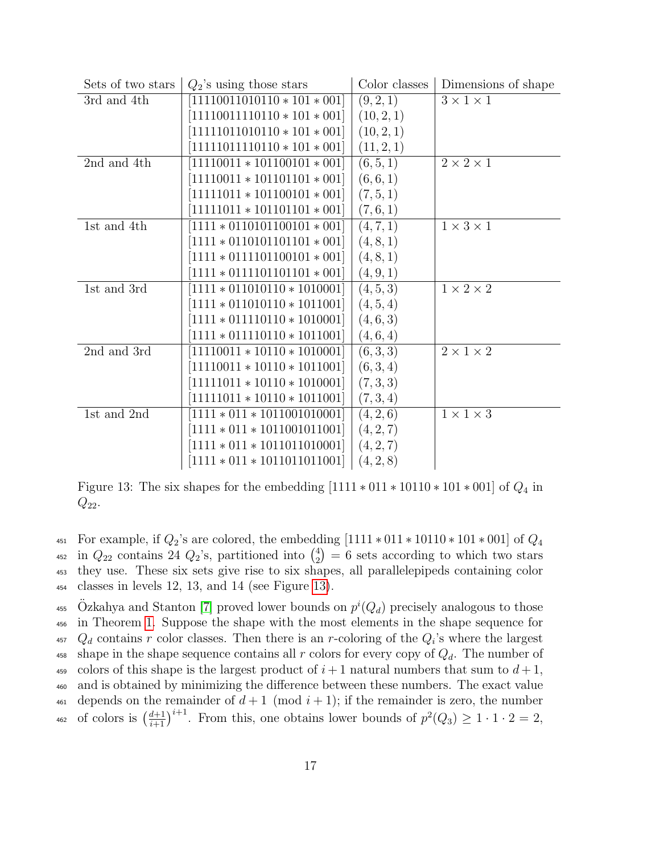| Sets of two stars | $Q_2$ 's using those stars     | Color classes | Dimensions of shape   |
|-------------------|--------------------------------|---------------|-----------------------|
| 3rd and 4th       | $11110011010110 * 101 * 001$   | (9, 2, 1)     | $3 \times 1 \times 1$ |
|                   | $[11110011110110*101*001]$     | (10, 2, 1)    |                       |
|                   | $11111011010110 * 101 * 001$   | (10, 2, 1)    |                       |
|                   | $11111011110110 * 101 * 001$   | (11, 2, 1)    |                       |
| 2nd and 4th       | $11110011 * 101100101 * 001$   | (6, 5, 1)     | $2 \times 2 \times 1$ |
|                   | $[11110011 * 101101101 * 001]$ | (6, 6, 1)     |                       |
|                   | $[11111011 * 101100101 * 001]$ | (7, 5, 1)     |                       |
|                   | $111111011 * 101101101 * 001$  | (7,6,1)       |                       |
| 1st and 4th       | $1111 * 0110101100101 * 001$   | (4, 7, 1)     | $1 \times 3 \times 1$ |
|                   | $[1111 * 0110101101101 * 001]$ | (4, 8, 1)     |                       |
|                   | $[1111 * 0111101100101 * 001]$ | (4, 8, 1)     |                       |
|                   | $1111 * 0111101101101 * 001$   | (4, 9, 1)     |                       |
| 1st and 3rd       | $1111 * 011010110 * 1010001$   | (4, 5, 3)     | $1 \times 2 \times 2$ |
|                   | $[1111 * 011010110 * 1011001]$ | (4, 5, 4)     |                       |
|                   | $[1111 * 011110110 * 1010001]$ | (4,6,3)       |                       |
|                   | $1111 * 011110110 * 1011001$   | (4,6,4)       |                       |
| 2nd and 3rd       | $11110011 * 10110 * 1010001$   | (6, 3, 3)     | $2 \times 1 \times 2$ |
|                   | $[11110011 * 10110 * 1011001]$ | (6,3,4)       |                       |
|                   | $[11111011 * 10110 * 1010001]$ | (7,3,3)       |                       |
|                   | $11111011 * 10110 * 1011001$   | (7,3,4)       |                       |
| 1st and 2nd       | $1111 * 011 * 1011001010001$   | (4, 2, 6)     | $1 \times 1 \times 3$ |
|                   | $[1111 * 011 * 1011001011001]$ | (4, 2, 7)     |                       |
|                   | $[1111 * 011 * 1011011010001]$ | (4, 2, 7)     |                       |
|                   | $1111 * 011 * 1011011011001$   | (4, 2, 8)     |                       |

<span id="page-16-0"></span>Figure 13: The six shapes for the embedding  $[1111 * 011 * 10110 * 101 * 001]$  of  $Q_4$  in  $Q_{22}$ .

451 For example, if  $Q_2$ 's are colored, the embedding  $[1111 * 011 * 10110 * 101 * 001]$  of  $Q_4$ in  $Q_{22}$  contains 24  $Q_2$ 's, partitioned into  $\binom{4}{2}$ <sup>452</sup> in  $Q_{22}$  contains 24  $Q_2$ 's, partitioned into  $\binom{4}{2}$  = 6 sets according to which two stars <sup>453</sup> they use. These six sets give rise to six shapes, all parallelepipeds containing color <sup>454</sup> classes in levels 12, 13, and 14 (see Figure [13\)](#page-16-0).

<sup>455</sup> Özkahya and Stanton [\[7\]](#page-21-5) proved lower bounds on  $p^{i}(Q_d)$  precisely analogous to those <sup>456</sup> in Theorem [1.](#page-1-0) Suppose the shape with the most elements in the shape sequence for 457  $Q_d$  contains r color classes. Then there is an r-coloring of the  $Q_i$ 's where the largest <sup>458</sup> shape in the shape sequence contains all r colors for every copy of  $Q_d$ . The number of 459 colors of this shape is the largest product of  $i+1$  natural numbers that sum to  $d+1$ , <sup>460</sup> and is obtained by minimizing the difference between these numbers. The exact value 461 depends on the remainder of  $d+1 \pmod{i+1}$ ; if the remainder is zero, the number 462 of colors is  $\left(\frac{d+1}{i+1}\right)^{i+1}$ . From this, one obtains lower bounds of  $p^2(Q_3) \geq 1 \cdot 1 \cdot 2 = 2$ ,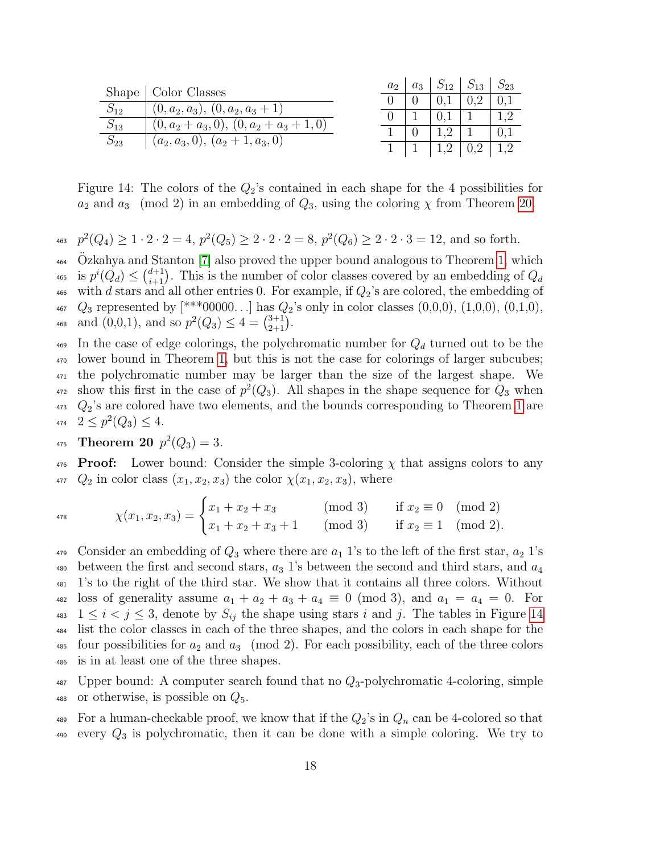|          | Shape   Color Classes                      | $a_2$ | $a_3$ | $S_{12}$ | $S_{13}$ | $\mathcal{D}_{23}$ |
|----------|--------------------------------------------|-------|-------|----------|----------|--------------------|
| $S_{12}$ | $(0, a_2, a_3), (0, a_2, a_3 + 1)$         |       |       |          |          |                    |
| $S_{13}$ |                                            |       |       |          |          |                    |
| $S_{23}$ | $(0, a_2 + a_3, 0), (0, a_2 + a_3 + 1, 0)$ |       |       |          |          |                    |
|          | $(a_2, a_3, 0), (a_2 + 1, a_3, 0)$         |       |       |          |          |                    |

<span id="page-17-1"></span>Figure 14: The colors of the  $Q_2$ 's contained in each shape for the 4 possibilities for  $a_2$  and  $a_3 \pmod{2}$  in an embedding of  $Q_3$ , using the coloring  $\chi$  from Theorem [20.](#page-17-0)

463  $p^2(Q_4) \geq 1 \cdot 2 \cdot 2 = 4$ ,  $p^2(Q_5) \geq 2 \cdot 2 \cdot 2 = 8$ ,  $p^2(Q_6) \geq 2 \cdot 2 \cdot 3 = 12$ , and so forth.

 $\alpha$ <sup>464</sup> Ozkahya and Stanton [\[7\]](#page-21-5) also proved the upper bound analogous to Theorem [1,](#page-1-0) which <sup>465</sup> is  $p^{i}(Q_d) \leq {d+1 \choose i+1}$ . This is the number of color classes covered by an embedding of  $Q_d$ 466 with d stars and all other entries 0. For example, if  $Q_2$ 's are colored, the embedding of  $_{467}$   $Q_3$  represented by  $[***00000...]$  has  $Q_2$ 's only in color classes  $(0,0,0)$ ,  $(1,0,0)$ ,  $(0,1,0)$ , 468 and  $(0,0,1)$ , and so  $p^2(Q_3) \leq 4 = \binom{3+1}{2+1}$ .

469 In the case of edge colorings, the polychromatic number for  $Q_d$  turned out to be the lower bound in Theorem [1,](#page-1-0) but this is not the case for colorings of larger subcubes; the polychromatic number may be larger than the size of the largest shape. We <sup>472</sup> show this first in the case of  $p^2(Q_3)$ . All shapes in the shape sequence for  $Q_3$  when  $Q_2$ 's are colored have two elements, and the bounds corresponding to Theorem [1](#page-1-0) are  $2 \leq p^2(Q_3) \leq 4.$ 

<span id="page-17-0"></span><sup>475</sup> Theorem 20 
$$
p^2(Q_3) = 3
$$
.

476 **Proof:** Lower bound: Consider the simple 3-coloring  $\chi$  that assigns colors to any  $Q_2$  in color class  $(x_1, x_2, x_3)$  the color  $\chi(x_1, x_2, x_3)$ , where

$$
\chi(x_1, x_2, x_3) = \begin{cases} x_1 + x_2 + x_3 & (\text{mod } 3) & \text{if } x_2 \equiv 0 \pmod{2} \\ x_1 + x_2 + x_3 + 1 & (\text{mod } 3) & \text{if } x_2 \equiv 1 \pmod{2} \end{cases}
$$

479 Consider an embedding of  $Q_3$  where there are  $a_1$  1's to the left of the first star,  $a_2$  1's 480 between the first and second stars,  $a_3$  1's between the second and third stars, and  $a_4$ <sup>481</sup> 1's to the right of the third star. We show that it contains all three colors. Without 482 loss of generality assume  $a_1 + a_2 + a_3 + a_4 \equiv 0 \pmod{3}$ , and  $a_1 = a_4 = 0$ . For 483  $1 \leq i \leq j \leq 3$ , denote by  $S_{ij}$  the shape using stars i and j. The tables in Figure [14](#page-17-1) <sup>484</sup> list the color classes in each of the three shapes, and the colors in each shape for the 485 four possibilities for  $a_2$  and  $a_3 \pmod{2}$ . For each possibility, each of the three colors <sup>486</sup> is in at least one of the three shapes.

 $487$  Upper bound: A computer search found that no  $Q_3$ -polychromatic 4-coloring, simple 488 or otherwise, is possible on  $Q_5$ .

489 For a human-checkable proof, we know that if the  $Q_2$ 's in  $Q_n$  can be 4-colored so that  $490$  every  $Q_3$  is polychromatic, then it can be done with a simple coloring. We try to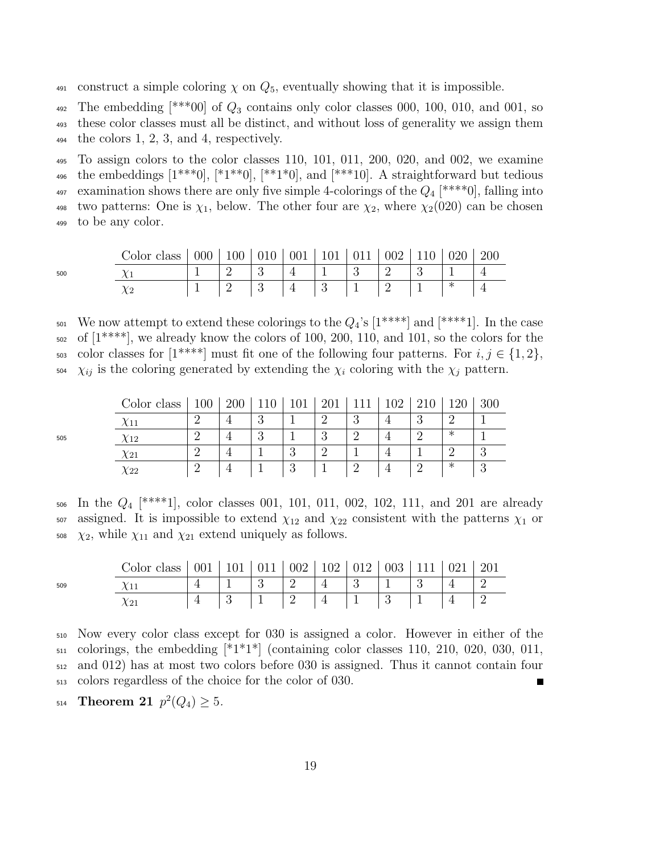491 construct a simple coloring  $\chi$  on  $Q_5$ , eventually showing that it is impossible.

492 The embedding  $[***00]$  of  $Q_3$  contains only color classes 000, 100, 010, and 001, so

<sup>493</sup> these color classes must all be distinct, and without loss of generality we assign them

 $494$  the colors 1, 2, 3, and 4, respectively.

<sup>495</sup> To assign colors to the color classes 110, 101, 011, 200, 020, and 002, we examine 496 the embeddings  $[1^{***}0], [1^{**}0], [1^{**}1^{*}0],$  and  $[1^{**}10].$  A straightforward but tedious 497 examination shows there are only five simple 4-colorings of the  $Q_4$  [\*\*\*\*0], falling into 498 two patterns: One is  $\chi_1$ , below. The other four are  $\chi_2$ , where  $\chi_2(020)$  can be chosen <sup>499</sup> to be any color.

505

| Color class   000   100   010   001   101   011   002   110   020   200 |  |                                                  |  |  |  |  |
|-------------------------------------------------------------------------|--|--------------------------------------------------|--|--|--|--|
|                                                                         |  | $1 \t 2 \t 3 \t 4 \t 1 \t 3 \t 2 \t 3 \t 1 \t 4$ |  |  |  |  |
|                                                                         |  |                                                  |  |  |  |  |

501 We now attempt to extend these colorings to the  $Q_4$ 's  $[1^{****}]$  and  $[1^{****}]$ . In the case <sup>502</sup> of [1\*\*\*\*], we already know the colors of 100, 200, 110, and 101, so the colors for the 503 color classes for  $[1^{***}]$  must fit one of the following four patterns. For  $i, j \in \{1, 2\},$  $\chi_{ij}$  is the coloring generated by extending the  $\chi_i$  coloring with the  $\chi_j$  pattern.

| Color class | $100\,$ | <b>200</b> |               | TOT           | റ∩<br>∠∪⊥ |          | റാ |          |   |            |
|-------------|---------|------------|---------------|---------------|-----------|----------|----|----------|---|------------|
| $\chi_{11}$ |         |            | റ<br>್ರ       |               | $\Omega$  | റ        |    | $\Omega$ |   |            |
| $\chi_{12}$ |         |            | $\Omega$<br>ಲ |               | ∩         |          |    |          | ∗ |            |
| $\chi_{21}$ |         |            |               | റ<br>್ರ       | 63        |          |    |          |   |            |
| $\chi_{22}$ |         |            |               | $\Omega$<br>U |           | $\Omega$ |    |          | ∗ | $\epsilon$ |

506 In the  $Q_4$  [\*\*\*\*1], color classes 001, 101, 011, 002, 102, 111, and 201 are already  $507$  assigned. It is impossible to extend  $\chi_{12}$  and  $\chi_{22}$  consistent with the patterns  $\chi_1$  or  $\chi_2$ , while  $\chi_{11}$  and  $\chi_{21}$  extend uniquely as follows.

|     | Color class   001   101   011   002   102   012   003   111   021   201 |  |  |  |  |  |
|-----|-------------------------------------------------------------------------|--|--|--|--|--|
| 509 |                                                                         |  |  |  |  |  |
|     |                                                                         |  |  |  |  |  |

<sup>510</sup> Now every color class except for 030 is assigned a color. However in either of the  $_{511}$  colorings, the embedding  $*1*1*$  (containing color classes 110, 210, 020, 030, 011, <sup>512</sup> and 012) has at most two colors before 030 is assigned. Thus it cannot contain four <sup>513</sup> colors regardless of the choice for the color of 030. Г

<span id="page-18-0"></span>514 Theorem 21 
$$
p^2(Q_4) \geq 5
$$
.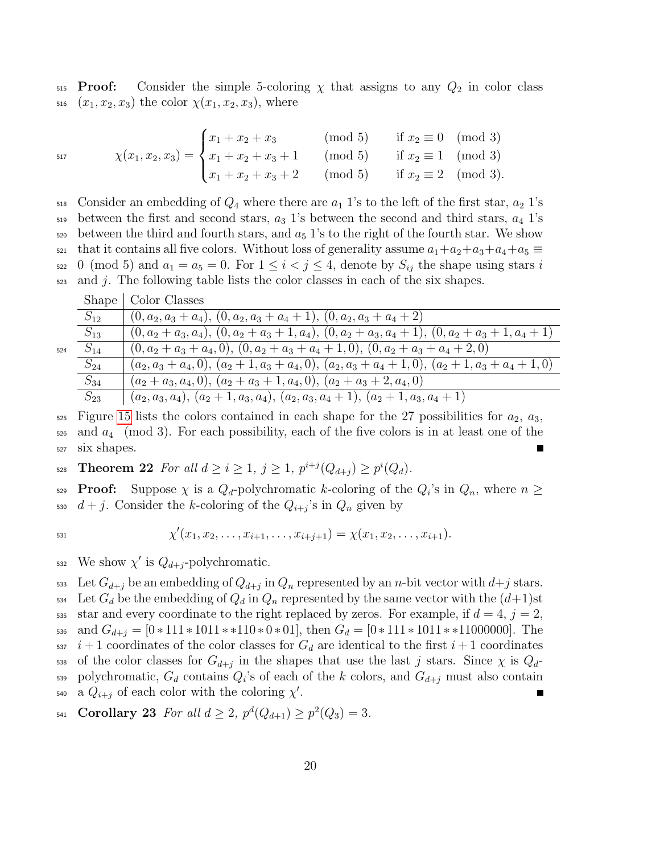$515$  **Proof:** Consider the simple 5-coloring  $\chi$  that assigns to any  $Q_2$  in color class 516  $(x_1, x_2, x_3)$  the color  $\chi(x_1, x_2, x_3)$ , where

517

$$
\chi(x_1, x_2, x_3) = \begin{cases} x_1 + x_2 + x_3 & (\text{mod } 5) & \text{if } x_2 \equiv 0 \pmod{3} \\ x_1 + x_2 + x_3 + 1 & (\text{mod } 5) & \text{if } x_2 \equiv 1 \pmod{3} \\ x_1 + x_2 + x_3 + 2 & (\text{mod } 5) & \text{if } x_2 \equiv 2 \pmod{3} \end{cases}
$$

 $518$  Consider an embedding of  $Q_4$  where there are  $a_1$  1's to the left of the first star,  $a_2$  1's 519 between the first and second stars,  $a_3$  1's between the second and third stars,  $a_4$  1's  $\frac{520}{20}$  between the third and fourth stars, and  $a_5$  1's to the right of the fourth star. We show  $\mu$ <sub>521</sub> that it contains all five colors. Without loss of generality assume  $a_1+a_2+a_3+a_4+a_5 \equiv$ 522 0 (mod 5) and  $a_1 = a_5 = 0$ . For  $1 \leq i < j \leq 4$ , denote by  $S_{ij}$  the shape using stars i  $\frac{1}{2}$  and j. The following table lists the color classes in each of the six shapes.

|    | Shape    | Color Classes                                                                                        |
|----|----------|------------------------------------------------------------------------------------------------------|
|    | $S_{12}$ | $(0, a_2, a_3 + a_4), (0, a_2, a_3 + a_4 + 1), (0, a_2, a_3 + a_4 + 2)$                              |
|    | $S_{13}$ | $(0, a_2 + a_3, a_4), (0, a_2 + a_3 + 1, a_4), (0, a_2 + a_3, a_4 + 1), (0, a_2 + a_3 + 1, a_4 + 1)$ |
| 24 | $S_{14}$ | $(0, a_2 + a_3 + a_4, 0), (0, a_2 + a_3 + a_4 + 1, 0), (0, a_2 + a_3 + a_4 + 2, 0)$                  |
|    | $S_{24}$ | $(a_2, a_3 + a_4, 0), (a_2 + 1, a_3 + a_4, 0), (a_2, a_3 + a_4 + 1, 0), (a_2 + 1, a_3 + a_4 + 1, 0)$ |
|    | $S_{34}$ | $(a_2+a_3,a_4,0), (a_2+a_3+1,a_4,0), (a_2+a_3+2,a_4,0)$                                              |
|    | $S_{23}$ | $(a_2, a_3, a_4), (a_2 + 1, a_3, a_4), (a_2, a_3, a_4 + 1), (a_2 + 1, a_3, a_4 + 1)$                 |

 $525$  Figure [15](#page-20-0) lists the colors contained in each shape for the 27 possibilities for  $a_2, a_3$ ,  $_{526}$  and  $a_4$  (mod 3). For each possibility, each of the five colors is in at least one of the <sup>527</sup> six shapes.

528 **Theorem 22** For all  $d \ge i \ge 1$ ,  $j \ge 1$ ,  $p^{i+j}(Q_{d+j}) \ge p^{i}(Q_{d})$ .

**Proof:** Suppose  $\chi$  is a  $Q_d$ -polychromatic k-coloring of the  $Q_i$ 's in  $Q_n$ , where  $n \geq$ 530  $d+j$ . Consider the k-coloring of the  $Q_{i+j}$ 's in  $Q_n$  given by

524

$$
\chi'(x_1, x_2, \ldots, x_{i+1}, \ldots, x_{i+j+1}) = \chi(x_1, x_2, \ldots, x_{i+1}).
$$

532 We show  $\chi'$  is  $Q_{d+j}$ -polychromatic.

533 Let  $G_{d+j}$  be an embedding of  $Q_{d+j}$  in  $Q_n$  represented by an n-bit vector with  $d+j$  stars. 534 Let  $G_d$  be the embedding of  $Q_d$  in  $Q_n$  represented by the same vector with the  $(d+1)$ st 535 star and every coordinate to the right replaced by zeros. For example, if  $d = 4$ ,  $j = 2$ , 536 and  $G_{d+j} = [0*111*1011**110*0*01]$ , then  $G_d = [0*111*1011**11000000]$ . The  $\frac{i+1}{1}$  coordinates of the color classes for  $G_d$  are identical to the first  $i+1$  coordinates 538 of the color classes for  $G_{d+j}$  in the shapes that use the last j stars. Since  $\chi$  is  $Q_d$ -539 polychromatic,  $G_d$  contains  $Q_i$ 's of each of the k colors, and  $G_{d+j}$  must also contain 540 a  $Q_{i+j}$  of each color with the coloring  $\chi'$ .

541 Corollary 23 For all  $d \ge 2$ ,  $p^d(Q_{d+1}) \ge p^2(Q_3) = 3$ .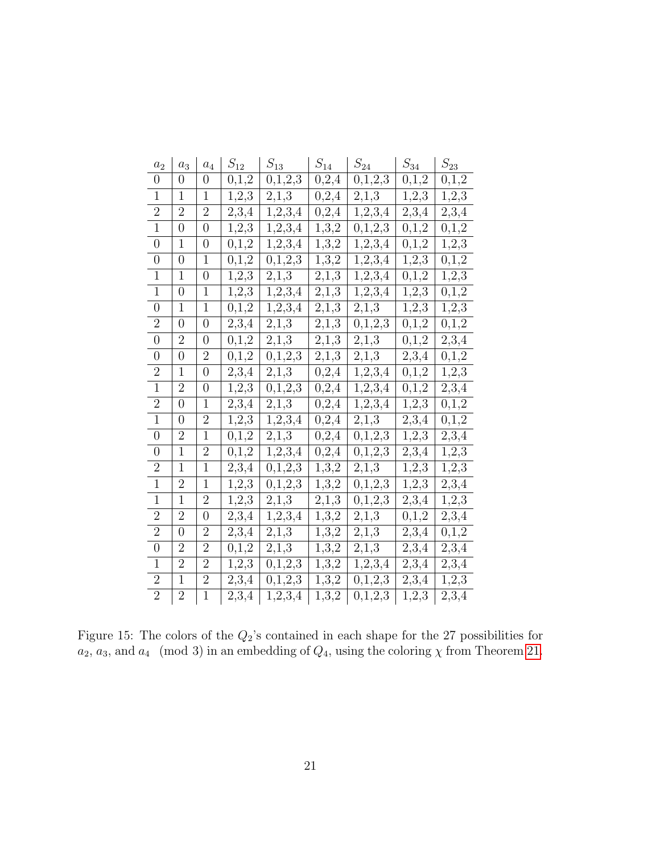| $a_2$          | $\boldsymbol{a}_3$ | $\bar{a}_4$      | $S_{12}$           | $\mathcal{S}_{13}$ | $\mathcal{S}_{14}$   | $\mathcal{S}_{24}$ | $S_{34}$ | $\mathcal{S}_{23}$ |
|----------------|--------------------|------------------|--------------------|--------------------|----------------------|--------------------|----------|--------------------|
| $\overline{0}$ | 0                  | $\overline{0}$   | 0,1,2              | 0,1,2,3            | 0,2,4                | 0,1,2,3            | 0,1,2    | 0,1,2              |
| $\mathbf{1}$   | $\mathbf{1}$       | $\mathbf{1}$     | 1,2,3              | 2,1,3              | $\ensuremath{0,2,4}$ | 2,1,3              | 1,2,3    | 1, 2, 3            |
| $\overline{2}$ | $\overline{2}$     | $\overline{2}$   | 2,3,4              | 1,2,3,4            | 0,2,4                | 1,2,3,4            | 2,3,4    | 2,3,4              |
| $\mathbf{1}$   | $\overline{0}$     | $\overline{0}$   | 1,2,3              | 1, 2, 3, 4         | 1, 3, 2              | 0,1,2,3            | 0,1,2    | 0,1,2              |
| $\overline{0}$ | $\overline{1}$     | $\overline{0}$   | 0,1,2              | 1,2,3,4            | 1, 3, 2              | 1,2,3,4            | 0,1,2    | 1, 2, 3            |
| $\overline{0}$ | $\overline{0}$     | 1                | 0,1,2              | 0,1,2,3            | 1,3,2                | 1,2,3,4            | 1,2,3    | 0,1,2              |
| $\mathbf{1}$   | 1                  | $\overline{0}$   | 1,2,3              | 2,1,3              | 2,1,3                | 1,2,3,4            | 0,1,2    | 1,2,3              |
| $\mathbf{1}$   | $\overline{0}$     | $\mathbf{1}$     | 1,2,3              | 1,2,3,4            | 2,1,3                | 1,2,3,4            | 1, 2, 3  | 0,1,2              |
| $\overline{0}$ | 1                  | $\mathbf{1}$     | 0,1,2              | 1,2,3,4            | 2,1,3                | $2,1,\overline{3}$ | 1,2,3    | 1,2,3              |
| $\overline{2}$ | $\overline{0}$     | $\boldsymbol{0}$ | 2,3,4              | 2,1,3              | 2,1,3                | 0,1,2,3            | 0,1,2    | 0,1,2              |
| $\overline{0}$ | $\overline{2}$     | $\overline{0}$   | 0,1,2              | 2,1,3              | 2,1,3                | 2,1,3              | 0,1,2    | 2,3,4              |
| $\overline{0}$ | $\boldsymbol{0}$   | $\overline{2}$   | 0,1,2              | 0,1,2,3            | 2,1,3                | 2,1,3              | 2,3,4    | 0,1,2              |
| $\overline{2}$ | $\mathbf{1}$       | $\overline{0}$   | 2,3,4              | 2,1,3              | 0,2,4                | 1,2,3,4            | 0,1,2    | 1,2,3              |
| $\overline{1}$ | $\overline{2}$     | $\overline{0}$   | 1,2,3              | $\bar{0},1,2,3$    | 0,2,4                | 1,2,3,4            | 0,1,2    | 2,3,4              |
| $\overline{2}$ | $\overline{0}$     | $\mathbf{1}$     | 2,3,4              | 2,1,3              | 0,2,4                | 1,2,3,4            | 1,2,3    | 0,1,2              |
| $\overline{1}$ | $\boldsymbol{0}$   | $\overline{2}$   | 1, 2, 3            | 1, 2, 3, 4         | 0,2,4                | $2,1,\overline{3}$ | 2,3,4    | 0,1,2              |
| $\overline{0}$ | $\overline{2}$     | $\mathbf{1}$     | 0,1,2              | 2,1,3              | 0,2,4                | 0,1,2,3            | 1,2,3    | 2,3,4              |
| $\overline{0}$ | $\overline{1}$     | $\overline{2}$   | 0,1,2              | 1,2,3,4            | 0,2,4                | 0,1,2,3            | 2,3,4    | 1, 2, 3            |
| $\overline{2}$ | 1                  | $\mathbf{1}$     | $\overline{2,3,4}$ | 0,1,2,3            | 1,3,2                | 2,1,3              | 1,2,3    | 1,2,3              |
| $\mathbf{1}$   | $\overline{2}$     | $\mathbf{1}$     | 1,2,3              | 0,1,2,3            | 1, 3, 2              | 0,1,2,3            | 1,2,3    | 2,3,4              |
| $\mathbf{1}$   | $\mathbf{1}$       | $\overline{2}$   | 1, 2, 3            | 2,1,3              | 2,1,3                | 0,1,2,3            | 2,3,4    | 1,2,3              |
| $\overline{2}$ | $\overline{2}$     | 0                | 2,3,4              | 1, 2, 3, 4         | 1,3,2                | 2,1,3              | 0,1,2    | 2,3,4              |
| $\overline{2}$ | $\overline{0}$     | $\overline{2}$   | 2,3,4              | 2,1,3              | 1,3,2                | 2,1,3              | 2,3,4    | 0,1,2              |
| $\overline{0}$ | $\overline{2}$     | $\overline{2}$   | 0,1,2              | 2,1,3              | 1,3,2                | 2,1,3              | 2,3,4    | 2,3,4              |
| $\mathbf{1}$   | $\overline{2}$     | $\overline{2}$   | 1,2,3              | 0,1,2,3            | 1,3,2                | 1,2,3,4            | 2,3,4    | 2,3,4              |
| $\mathbf{2}$   | $\mathbf 1$        | $\overline{2}$   | $\overline{2,3,4}$ | 0,1,2,3            | 1,3,2                | 0,1,2,3            | 2,3,4    | 1,2,3              |
| $\overline{2}$ | $\overline{2}$     | $\mathbf{1}$     | 2,3,4              | 1,2,3,4            | $\overline{1,3,2}$   | 0,1,2,3            | 1, 2, 3  | 2,3,4              |

<span id="page-20-0"></span>Figure 15: The colors of the  $Q_2$ 's contained in each shape for the 27 possibilities for  $a_2, a_3$ , and  $a_4 \pmod{3}$  in an embedding of  $Q_4$ , using the coloring  $\chi$  from Theorem [21.](#page-18-0)